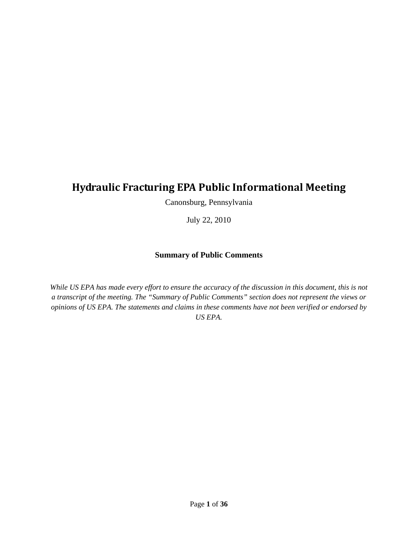# **Hydraulic Fracturing EPA Public Informational Meeting**

Canonsburg, Pennsylvania

July 22, 2010

#### **Summary of Public Comments**

*While US EPA has made every effort to ensure the accuracy of the discussion in this document, this is not a transcript of the meeting. The "Summary of Public Comments" section does not represent the views or opinions of US EPA. The statements and claims in these comments have not been verified or endorsed by US EPA.*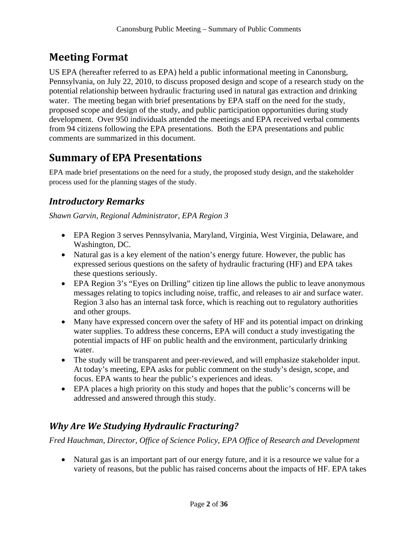# **Meeting Format**

US EPA (hereafter referred to as EPA) held a public informational meeting in Canonsburg, Pennsylvania, on July 22, 2010, to discuss proposed design and scope of a research study on the potential relationship between hydraulic fracturing used in natural gas extraction and drinking water. The meeting began with brief presentations by EPA staff on the need for the study, proposed scope and design of the study, and public participation opportunities during study development. Over 950 individuals attended the meetings and EPA received verbal comments from 94 citizens following the EPA presentations. Both the EPA presentations and public comments are summarized in this document.

# **Summary of EPA Presentations**

EPA made brief presentations on the need for a study, the proposed study design, and the stakeholder process used for the planning stages of the study.

#### *Introductory Remarks*

*Shawn Garvin, Regional Administrator, EPA Region 3* 

- EPA Region 3 serves Pennsylvania, Maryland, Virginia, West Virginia, Delaware, and Washington, DC.
- Natural gas is a key element of the nation's energy future. However, the public has expressed serious questions on the safety of hydraulic fracturing (HF) and EPA takes these questions seriously.
- EPA Region 3's "Eyes on Drilling" citizen tip line allows the public to leave anonymous messages relating to topics including noise, traffic, and releases to air and surface water. Region 3 also has an internal task force, which is reaching out to regulatory authorities and other groups.
- Many have expressed concern over the safety of HF and its potential impact on drinking water supplies. To address these concerns, EPA will conduct a study investigating the potential impacts of HF on public health and the environment, particularly drinking water.
- The study will be transparent and peer-reviewed, and will emphasize stakeholder input. At today's meeting, EPA asks for public comment on the study's design, scope, and focus. EPA wants to hear the public's experiences and ideas.
- EPA places a high priority on this study and hopes that the public's concerns will be addressed and answered through this study.

### *Why Are We Studying Hydraulic Fracturing?*

*Fred Hauchman, Director, Office of Science Policy, EPA Office of Research and Development* 

• Natural gas is an important part of our energy future, and it is a resource we value for a variety of reasons, but the public has raised concerns about the impacts of HF. EPA takes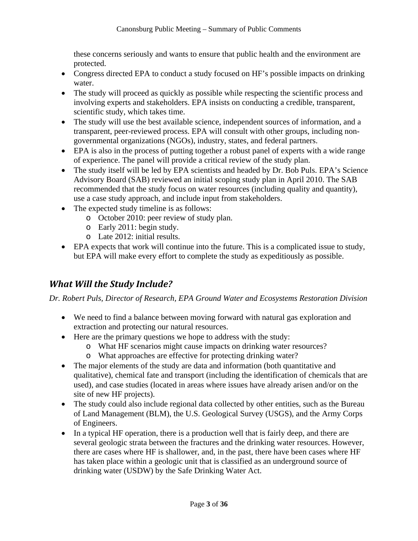these concerns seriously and wants to ensure that public health and the environment are protected.

- Congress directed EPA to conduct a study focused on HF's possible impacts on drinking water.
- The study will proceed as quickly as possible while respecting the scientific process and involving experts and stakeholders. EPA insists on conducting a credible, transparent, scientific study, which takes time.
- The study will use the best available science, independent sources of information, and a transparent, peer-reviewed process. EPA will consult with other groups, including nongovernmental organizations (NGOs), industry, states, and federal partners.
- EPA is also in the process of putting together a robust panel of experts with a wide range of experience. The panel will provide a critical review of the study plan.
- The study itself will be led by EPA scientists and headed by Dr. Bob Puls. EPA's Science Advisory Board (SAB) reviewed an initial scoping study plan in April 2010. The SAB recommended that the study focus on water resources (including quality and quantity), use a case study approach, and include input from stakeholders.
- The expected study timeline is as follows:
	- o October 2010: peer review of study plan.
	- o Early 2011: begin study.
	- o Late 2012: initial results.
- EPA expects that work will continue into the future. This is a complicated issue to study, but EPA will make every effort to complete the study as expeditiously as possible.

### *What Will the Study Include?*

*Dr. Robert Puls, Director of Research, EPA Ground Water and Ecosystems Restoration Division* 

- We need to find a balance between moving forward with natural gas exploration and extraction and protecting our natural resources.
- Here are the primary questions we hope to address with the study:
	- o What HF scenarios might cause impacts on drinking water resources?
	- o What approaches are effective for protecting drinking water?
- The major elements of the study are data and information (both quantitative and qualitative), chemical fate and transport (including the identification of chemicals that are used), and case studies (located in areas where issues have already arisen and/or on the site of new HF projects).
- The study could also include regional data collected by other entities, such as the Bureau of Land Management (BLM), the U.S. Geological Survey (USGS), and the Army Corps of Engineers.
- In a typical HF operation, there is a production well that is fairly deep, and there are several geologic strata between the fractures and the drinking water resources. However, there are cases where HF is shallower, and, in the past, there have been cases where HF has taken place within a geologic unit that is classified as an underground source of drinking water (USDW) by the Safe Drinking Water Act.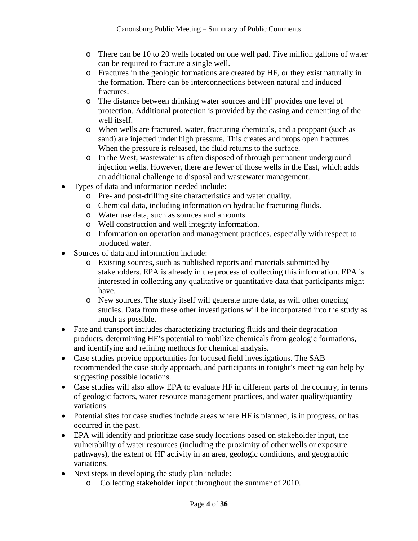- o There can be 10 to 20 wells located on one well pad. Five million gallons of water can be required to fracture a single well.
- o Fractures in the geologic formations are created by HF, or they exist naturally in the formation. There can be interconnections between natural and induced **fractures**
- o The distance between drinking water sources and HF provides one level of protection. Additional protection is provided by the casing and cementing of the well itself.
- o When wells are fractured, water, fracturing chemicals, and a proppant (such as sand) are injected under high pressure. This creates and props open fractures. When the pressure is released, the fluid returns to the surface.
- o In the West, wastewater is often disposed of through permanent underground injection wells. However, there are fewer of those wells in the East, which adds an additional challenge to disposal and wastewater management.
- Types of data and information needed include:
	- o Pre- and post-drilling site characteristics and water quality.
	- o Chemical data, including information on hydraulic fracturing fluids.
	- o Water use data, such as sources and amounts.
	- o Well construction and well integrity information.
	- o Information on operation and management practices, especially with respect to produced water.
- Sources of data and information include:
	- o Existing sources, such as published reports and materials submitted by stakeholders. EPA is already in the process of collecting this information. EPA is interested in collecting any qualitative or quantitative data that participants might have.
	- o New sources. The study itself will generate more data, as will other ongoing studies. Data from these other investigations will be incorporated into the study as much as possible.
- Fate and transport includes characterizing fracturing fluids and their degradation products, determining HF's potential to mobilize chemicals from geologic formations, and identifying and refining methods for chemical analysis.
- Case studies provide opportunities for focused field investigations. The SAB recommended the case study approach, and participants in tonight's meeting can help by suggesting possible locations.
- Case studies will also allow EPA to evaluate HF in different parts of the country, in terms of geologic factors, water resource management practices, and water quality/quantity variations.
- Potential sites for case studies include areas where HF is planned, is in progress, or has occurred in the past.
- EPA will identify and prioritize case study locations based on stakeholder input, the vulnerability of water resources (including the proximity of other wells or exposure pathways), the extent of HF activity in an area, geologic conditions, and geographic variations.
- Next steps in developing the study plan include:
	- o Collecting stakeholder input throughout the summer of 2010.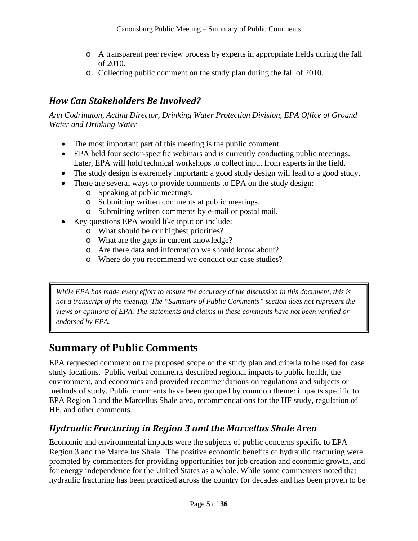- o A transparent peer review process by experts in appropriate fields during the fall of 2010.
- o Collecting public comment on the study plan during the fall of 2010.

## *How Can Stakeholders Be Involved?*

*Ann Codrington, Acting Director, Drinking Water Protection Division, EPA Office of Ground Water and Drinking Water* 

- The most important part of this meeting is the public comment.
- EPA held four sector-specific webinars and is currently conducting public meetings. Later, EPA will hold technical workshops to collect input from experts in the field.
- The study design is extremely important: a good study design will lead to a good study.
- There are several ways to provide comments to EPA on the study design:
	- o Speaking at public meetings.
	- o Submitting written comments at public meetings.
	- o Submitting written comments by e-mail or postal mail.
- Key questions EPA would like input on include:
	- o What should be our highest priorities?
	- o What are the gaps in current knowledge?
	- o Are there data and information we should know about?
	- o Where do you recommend we conduct our case studies?

*While EPA has made every effort to ensure the accuracy of the discussion in this document, this is not a transcript of the meeting. The "Summary of Public Comments" section does not represent the views or opinions of EPA. The statements and claims in these comments have not been verified or endorsed by EPA.* 

# **Summary of Public Comments**

EPA requested comment on the proposed scope of the study plan and criteria to be used for case study locations. Public verbal comments described regional impacts to public health, the environment, and economics and provided recommendations on regulations and subjects or methods of study. Public comments have been grouped by common theme: impacts specific to EPA Region 3 and the Marcellus Shale area, recommendations for the HF study, regulation of HF, and other comments.

### *Hydraulic Fracturing in Region 3 and the Marcellus Shale Area*

Economic and environmental impacts were the subjects of public concerns specific to EPA Region 3 and the Marcellus Shale. The positive economic benefits of hydraulic fracturing were promoted by commenters for providing opportunities for job creation and economic growth, and for energy independence for the United States as a whole. While some commenters noted that hydraulic fracturing has been practiced across the country for decades and has been proven to be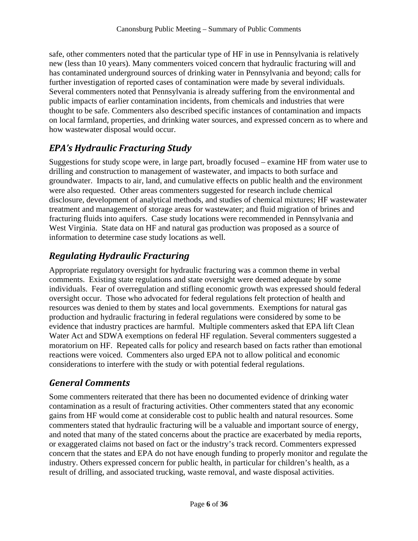safe, other commenters noted that the particular type of HF in use in Pennsylvania is relatively new (less than 10 years). Many commenters voiced concern that hydraulic fracturing will and has contaminated underground sources of drinking water in Pennsylvania and beyond; calls for further investigation of reported cases of contamination were made by several individuals. Several commenters noted that Pennsylvania is already suffering from the environmental and public impacts of earlier contamination incidents, from chemicals and industries that were thought to be safe. Commenters also described specific instances of contamination and impacts on local farmland, properties, and drinking water sources, and expressed concern as to where and how wastewater disposal would occur.

### *EPA's Hydraulic Fracturing Study*

Suggestions for study scope were, in large part, broadly focused – examine HF from water use to drilling and construction to management of wastewater, and impacts to both surface and groundwater. Impacts to air, land, and cumulative effects on public health and the environment were also requested. Other areas commenters suggested for research include chemical disclosure, development of analytical methods, and studies of chemical mixtures; HF wastewater treatment and management of storage areas for wastewater; and fluid migration of brines and fracturing fluids into aquifers. Case study locations were recommended in Pennsylvania and West Virginia. State data on HF and natural gas production was proposed as a source of information to determine case study locations as well.

### *Regulating Hydraulic Fracturing*

Appropriate regulatory oversight for hydraulic fracturing was a common theme in verbal comments. Existing state regulations and state oversight were deemed adequate by some individuals. Fear of overregulation and stifling economic growth was expressed should federal oversight occur. Those who advocated for federal regulations felt protection of health and resources was denied to them by states and local governments. Exemptions for natural gas production and hydraulic fracturing in federal regulations were considered by some to be evidence that industry practices are harmful. Multiple commenters asked that EPA lift Clean Water Act and SDWA exemptions on federal HF regulation. Several commenters suggested a moratorium on HF. Repeated calls for policy and research based on facts rather than emotional reactions were voiced. Commenters also urged EPA not to allow political and economic considerations to interfere with the study or with potential federal regulations.

#### *General Comments*

Some commenters reiterated that there has been no documented evidence of drinking water contamination as a result of fracturing activities. Other commenters stated that any economic gains from HF would come at considerable cost to public health and natural resources. Some commenters stated that hydraulic fracturing will be a valuable and important source of energy, and noted that many of the stated concerns about the practice are exacerbated by media reports, or exaggerated claims not based on fact or the industry's track record. Commenters expressed concern that the states and EPA do not have enough funding to properly monitor and regulate the industry. Others expressed concern for public health, in particular for children's health, as a result of drilling, and associated trucking, waste removal, and waste disposal activities.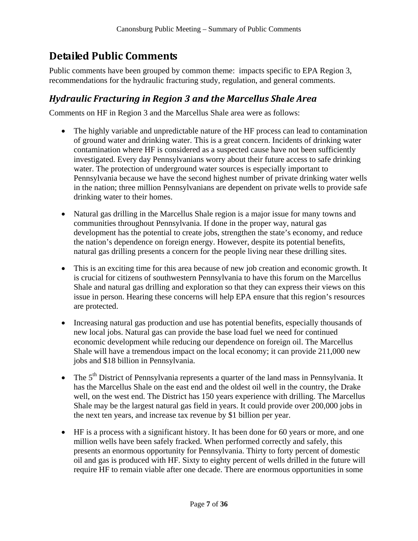# **Detailed Public Comments**

Public comments have been grouped by common theme: impacts specific to EPA Region 3, recommendations for the hydraulic fracturing study, regulation, and general comments.

#### *Hydraulic Fracturing in Region 3 and the Marcellus Shale Area*

Comments on HF in Region 3 and the Marcellus Shale area were as follows:

- The highly variable and unpredictable nature of the HF process can lead to contamination of ground water and drinking water. This is a great concern. Incidents of drinking water contamination where HF is considered as a suspected cause have not been sufficiently investigated. Every day Pennsylvanians worry about their future access to safe drinking water. The protection of underground water sources is especially important to Pennsylvania because we have the second highest number of private drinking water wells in the nation; three million Pennsylvanians are dependent on private wells to provide safe drinking water to their homes.
- Natural gas drilling in the Marcellus Shale region is a major issue for many towns and communities throughout Pennsylvania. If done in the proper way, natural gas development has the potential to create jobs, strengthen the state's economy, and reduce the nation's dependence on foreign energy. However, despite its potential benefits, natural gas drilling presents a concern for the people living near these drilling sites.
- This is an exciting time for this area because of new job creation and economic growth. It is crucial for citizens of southwestern Pennsylvania to have this forum on the Marcellus Shale and natural gas drilling and exploration so that they can express their views on this issue in person. Hearing these concerns will help EPA ensure that this region's resources are protected.
- Increasing natural gas production and use has potential benefits, especially thousands of new local jobs. Natural gas can provide the base load fuel we need for continued economic development while reducing our dependence on foreign oil. The Marcellus Shale will have a tremendous impact on the local economy; it can provide 211,000 new jobs and \$18 billion in Pennsylvania.
- The  $5<sup>th</sup>$  District of Pennsylvania represents a quarter of the land mass in Pennsylvania. It has the Marcellus Shale on the east end and the oldest oil well in the country, the Drake well, on the west end. The District has 150 years experience with drilling. The Marcellus Shale may be the largest natural gas field in years. It could provide over 200,000 jobs in the next ten years, and increase tax revenue by \$1 billion per year.
- HF is a process with a significant history. It has been done for 60 years or more, and one million wells have been safely fracked. When performed correctly and safely, this presents an enormous opportunity for Pennsylvania. Thirty to forty percent of domestic oil and gas is produced with HF. Sixty to eighty percent of wells drilled in the future will require HF to remain viable after one decade. There are enormous opportunities in some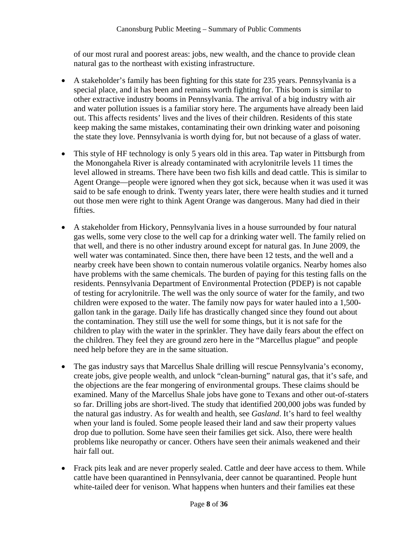of our most rural and poorest areas: jobs, new wealth, and the chance to provide clean natural gas to the northeast with existing infrastructure.

- A stakeholder's family has been fighting for this state for 235 years. Pennsylvania is a special place, and it has been and remains worth fighting for. This boom is similar to other extractive industry booms in Pennsylvania. The arrival of a big industry with air and water pollution issues is a familiar story here. The arguments have already been laid out. This affects residents' lives and the lives of their children. Residents of this state keep making the same mistakes, contaminating their own drinking water and poisoning the state they love. Pennsylvania is worth dying for, but not because of a glass of water.
- This style of HF technology is only 5 years old in this area. Tap water in Pittsburgh from the Monongahela River is already contaminated with acrylonitrile levels 11 times the level allowed in streams. There have been two fish kills and dead cattle. This is similar to Agent Orange—people were ignored when they got sick, because when it was used it was said to be safe enough to drink. Twenty years later, there were health studies and it turned out those men were right to think Agent Orange was dangerous. Many had died in their fifties.
- A stakeholder from Hickory, Pennsylvania lives in a house surrounded by four natural gas wells, some very close to the well cap for a drinking water well. The family relied on that well, and there is no other industry around except for natural gas. In June 2009, the well water was contaminated. Since then, there have been 12 tests, and the well and a nearby creek have been shown to contain numerous volatile organics. Nearby homes also have problems with the same chemicals. The burden of paying for this testing falls on the residents. Pennsylvania Department of Environmental Protection (PDEP) is not capable of testing for acrylonitrile. The well was the only source of water for the family, and two children were exposed to the water. The family now pays for water hauled into a 1,500 gallon tank in the garage. Daily life has drastically changed since they found out about the contamination. They still use the well for some things, but it is not safe for the children to play with the water in the sprinkler. They have daily fears about the effect on the children. They feel they are ground zero here in the "Marcellus plague" and people need help before they are in the same situation.
- The gas industry says that Marcellus Shale drilling will rescue Pennsylvania's economy, create jobs, give people wealth, and unlock "clean-burning" natural gas, that it's safe, and the objections are the fear mongering of environmental groups. These claims should be examined. Many of the Marcellus Shale jobs have gone to Texans and other out-of-staters so far. Drilling jobs are short-lived. The study that identified 200,000 jobs was funded by the natural gas industry. As for wealth and health, see *Gasland*. It's hard to feel wealthy when your land is fouled. Some people leased their land and saw their property values drop due to pollution. Some have seen their families get sick. Also, there were health problems like neuropathy or cancer. Others have seen their animals weakened and their hair fall out.
- Frack pits leak and are never properly sealed. Cattle and deer have access to them. While cattle have been quarantined in Pennsylvania, deer cannot be quarantined. People hunt white-tailed deer for venison. What happens when hunters and their families eat these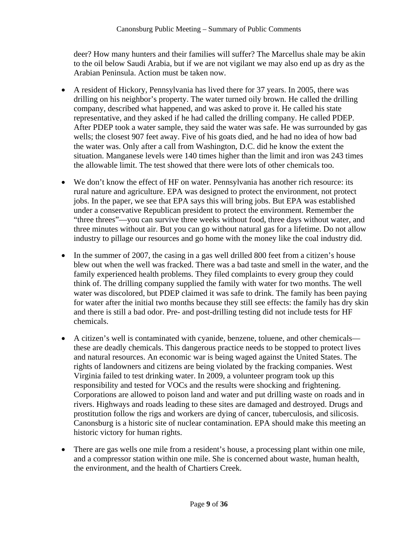deer? How many hunters and their families will suffer? The Marcellus shale may be akin to the oil below Saudi Arabia, but if we are not vigilant we may also end up as dry as the Arabian Peninsula. Action must be taken now.

- A resident of Hickory, Pennsylvania has lived there for 37 years. In 2005, there was drilling on his neighbor's property. The water turned oily brown. He called the drilling company, described what happened, and was asked to prove it. He called his state representative, and they asked if he had called the drilling company. He called PDEP. After PDEP took a water sample, they said the water was safe. He was surrounded by gas wells; the closest 907 feet away. Five of his goats died, and he had no idea of how bad the water was. Only after a call from Washington, D.C. did he know the extent the situation. Manganese levels were 140 times higher than the limit and iron was 243 times the allowable limit. The test showed that there were lots of other chemicals too.
- We don't know the effect of HF on water. Pennsylvania has another rich resource: its rural nature and agriculture. EPA was designed to protect the environment, not protect jobs. In the paper, we see that EPA says this will bring jobs. But EPA was established under a conservative Republican president to protect the environment. Remember the "three threes"—you can survive three weeks without food, three days without water, and three minutes without air. But you can go without natural gas for a lifetime. Do not allow industry to pillage our resources and go home with the money like the coal industry did.
- In the summer of 2007, the casing in a gas well drilled 800 feet from a citizen's house blew out when the well was fracked. There was a bad taste and smell in the water, and the family experienced health problems. They filed complaints to every group they could think of. The drilling company supplied the family with water for two months. The well water was discolored, but PDEP claimed it was safe to drink. The family has been paying for water after the initial two months because they still see effects: the family has dry skin and there is still a bad odor. Pre- and post-drilling testing did not include tests for HF chemicals.
- A citizen's well is contaminated with cyanide, benzene, toluene, and other chemicals these are deadly chemicals. This dangerous practice needs to be stopped to protect lives and natural resources. An economic war is being waged against the United States. The rights of landowners and citizens are being violated by the fracking companies. West Virginia failed to test drinking water. In 2009, a volunteer program took up this responsibility and tested for VOCs and the results were shocking and frightening. Corporations are allowed to poison land and water and put drilling waste on roads and in rivers. Highways and roads leading to these sites are damaged and destroyed. Drugs and prostitution follow the rigs and workers are dying of cancer, tuberculosis, and silicosis. Canonsburg is a historic site of nuclear contamination. EPA should make this meeting an historic victory for human rights.
- There are gas wells one mile from a resident's house, a processing plant within one mile, and a compressor station within one mile. She is concerned about waste, human health, the environment, and the health of Chartiers Creek.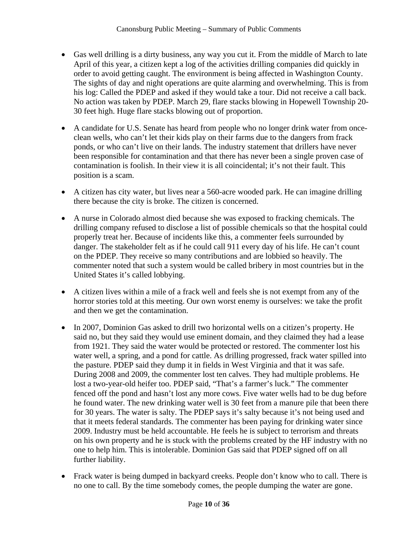- Gas well drilling is a dirty business, any way you cut it. From the middle of March to late April of this year, a citizen kept a log of the activities drilling companies did quickly in order to avoid getting caught. The environment is being affected in Washington County. The sights of day and night operations are quite alarming and overwhelming. This is from his log: Called the PDEP and asked if they would take a tour. Did not receive a call back. No action was taken by PDEP. March 29, flare stacks blowing in Hopewell Township 20- 30 feet high. Huge flare stacks blowing out of proportion.
- A candidate for U.S. Senate has heard from people who no longer drink water from onceclean wells, who can't let their kids play on their farms due to the dangers from frack ponds, or who can't live on their lands. The industry statement that drillers have never been responsible for contamination and that there has never been a single proven case of contamination is foolish. In their view it is all coincidental; it's not their fault. This position is a scam.
- A citizen has city water, but lives near a 560-acre wooded park. He can imagine drilling there because the city is broke. The citizen is concerned.
- A nurse in Colorado almost died because she was exposed to fracking chemicals. The drilling company refused to disclose a list of possible chemicals so that the hospital could properly treat her. Because of incidents like this, a commenter feels surrounded by danger. The stakeholder felt as if he could call 911 every day of his life. He can't count on the PDEP. They receive so many contributions and are lobbied so heavily. The commenter noted that such a system would be called bribery in most countries but in the United States it's called lobbying.
- A citizen lives within a mile of a frack well and feels she is not exempt from any of the horror stories told at this meeting. Our own worst enemy is ourselves: we take the profit and then we get the contamination.
- In 2007, Dominion Gas asked to drill two horizontal wells on a citizen's property. He said no, but they said they would use eminent domain, and they claimed they had a lease from 1921. They said the water would be protected or restored. The commenter lost his water well, a spring, and a pond for cattle. As drilling progressed, frack water spilled into the pasture. PDEP said they dump it in fields in West Virginia and that it was safe. During 2008 and 2009, the commenter lost ten calves. They had multiple problems. He lost a two-year-old heifer too. PDEP said, "That's a farmer's luck." The commenter fenced off the pond and hasn't lost any more cows. Five water wells had to be dug before he found water. The new drinking water well is 30 feet from a manure pile that been there for 30 years. The water is salty. The PDEP says it's salty because it's not being used and that it meets federal standards. The commenter has been paying for drinking water since 2009. Industry must be held accountable. He feels he is subject to terrorism and threats on his own property and he is stuck with the problems created by the HF industry with no one to help him. This is intolerable. Dominion Gas said that PDEP signed off on all further liability.
- Frack water is being dumped in backyard creeks. People don't know who to call. There is no one to call. By the time somebody comes, the people dumping the water are gone.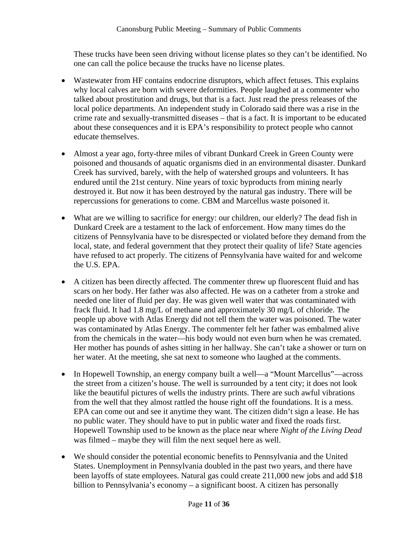These trucks have been seen driving without license plates so they can't be identified. No one can call the police because the trucks have no license plates.

- Wastewater from HF contains endocrine disruptors, which affect fetuses. This explains why local calves are born with severe deformities. People laughed at a commenter who talked about prostitution and drugs, but that is a fact. Just read the press releases of the local police departments. An independent study in Colorado said there was a rise in the crime rate and sexually-transmitted diseases – that is a fact. It is important to be educated about these consequences and it is EPA's responsibility to protect people who cannot educate themselves.
- Almost a year ago, forty-three miles of vibrant Dunkard Creek in Green County were poisoned and thousands of aquatic organisms died in an environmental disaster. Dunkard Creek has survived, barely, with the help of watershed groups and volunteers. It has endured until the 21st century. Nine years of toxic byproducts from mining nearly destroyed it. But now it has been destroyed by the natural gas industry. There will be repercussions for generations to come. CBM and Marcellus waste poisoned it.
- What are we willing to sacrifice for energy: our children, our elderly? The dead fish in Dunkard Creek are a testament to the lack of enforcement. How many times do the citizens of Pennsylvania have to be disrespected or violated before they demand from the local, state, and federal government that they protect their quality of life? State agencies have refused to act properly. The citizens of Pennsylvania have waited for and welcome the U.S. EPA.
- A citizen has been directly affected. The commenter threw up fluorescent fluid and has scars on her body. Her father was also affected. He was on a catheter from a stroke and needed one liter of fluid per day. He was given well water that was contaminated with frack fluid. It had 1.8 mg/L of methane and approximately 30 mg/L of chloride. The people up above with Atlas Energy did not tell them the water was poisoned. The water was contaminated by Atlas Energy. The commenter felt her father was embalmed alive from the chemicals in the water—his body would not even burn when he was cremated. Her mother has pounds of ashes sitting in her hallway. She can't take a shower or turn on her water. At the meeting, she sat next to someone who laughed at the comments.
- In Hopewell Township, an energy company built a well—a "Mount Marcellus"—across the street from a citizen's house. The well is surrounded by a tent city; it does not look like the beautiful pictures of wells the industry prints. There are such awful vibrations from the well that they almost rattled the house right off the foundations. It is a mess. EPA can come out and see it anytime they want. The citizen didn't sign a lease. He has no public water. They should have to put in public water and fixed the roads first. Hopewell Township used to be known as the place near where *Night of the Living Dead* was filmed – maybe they will film the next sequel here as well.
- We should consider the potential economic benefits to Pennsylvania and the United States. Unemployment in Pennsylvania doubled in the past two years, and there have been layoffs of state employees. Natural gas could create 211,000 new jobs and add \$18 billion to Pennsylvania's economy – a significant boost. A citizen has personally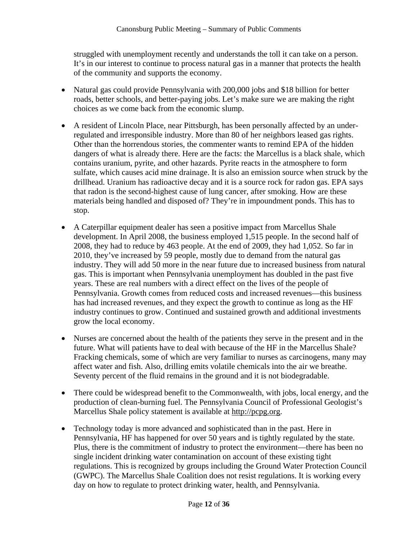struggled with unemployment recently and understands the toll it can take on a person. It's in our interest to continue to process natural gas in a manner that protects the health of the community and supports the economy.

- Natural gas could provide Pennsylvania with 200,000 jobs and \$18 billion for better roads, better schools, and better-paying jobs. Let's make sure we are making the right choices as we come back from the economic slump.
- A resident of Lincoln Place, near Pittsburgh, has been personally affected by an underregulated and irresponsible industry. More than 80 of her neighbors leased gas rights. Other than the horrendous stories, the commenter wants to remind EPA of the hidden dangers of what is already there. Here are the facts: the Marcellus is a black shale, which contains uranium, pyrite, and other hazards. Pyrite reacts in the atmosphere to form sulfate, which causes acid mine drainage. It is also an emission source when struck by the drillhead. Uranium has radioactive decay and it is a source rock for radon gas. EPA says that radon is the second-highest cause of lung cancer, after smoking. How are these materials being handled and disposed of? They're in impoundment ponds. This has to stop.
- A Caterpillar equipment dealer has seen a positive impact from Marcellus Shale development. In April 2008, the business employed 1,515 people. In the second half of 2008, they had to reduce by 463 people. At the end of 2009, they had 1,052. So far in 2010, they've increased by 59 people, mostly due to demand from the natural gas industry. They will add 50 more in the near future due to increased business from natural gas. This is important when Pennsylvania unemployment has doubled in the past five years. These are real numbers with a direct effect on the lives of the people of Pennsylvania. Growth comes from reduced costs and increased revenues—this business has had increased revenues, and they expect the growth to continue as long as the HF industry continues to grow. Continued and sustained growth and additional investments grow the local economy.
- Nurses are concerned about the health of the patients they serve in the present and in the future. What will patients have to deal with because of the HF in the Marcellus Shale? Fracking chemicals, some of which are very familiar to nurses as carcinogens, many may affect water and fish. Also, drilling emits volatile chemicals into the air we breathe. Seventy percent of the fluid remains in the ground and it is not biodegradable.
- There could be widespread benefit to the Commonwealth, with jobs, local energy, and the production of clean-burning fuel. The Pennsylvania Council of Professional Geologist's Marcellus Shale policy statement is available at http://pcpg.org.
- Technology today is more advanced and sophisticated than in the past. Here in Pennsylvania, HF has happened for over 50 years and is tightly regulated by the state. Plus, there is the commitment of industry to protect the environment—there has been no single incident drinking water contamination on account of these existing tight regulations. This is recognized by groups including the Ground Water Protection Council (GWPC). The Marcellus Shale Coalition does not resist regulations. It is working every day on how to regulate to protect drinking water, health, and Pennsylvania.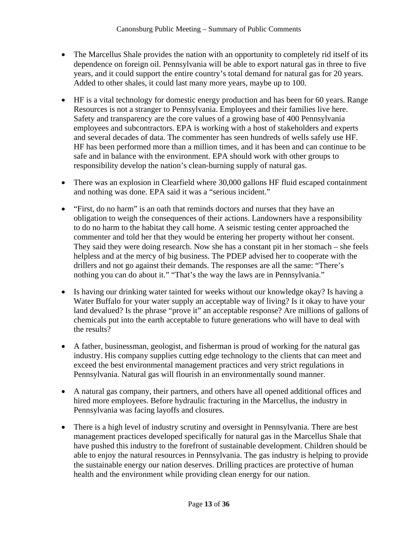- The Marcellus Shale provides the nation with an opportunity to completely rid itself of its dependence on foreign oil. Pennsylvania will be able to export natural gas in three to five years, and it could support the entire country's total demand for natural gas for 20 years. Added to other shales, it could last many more years, maybe up to 100.
- HF is a vital technology for domestic energy production and has been for 60 years. Range Resources is not a stranger to Pennsylvania. Employees and their families live here. Safety and transparency are the core values of a growing base of 400 Pennsylvania employees and subcontractors. EPA is working with a host of stakeholders and experts and several decades of data. The commenter has seen hundreds of wells safely use HF. HF has been performed more than a million times, and it has been and can continue to be safe and in balance with the environment. EPA should work with other groups to responsibility develop the nation's clean-burning supply of natural gas.
- There was an explosion in Clearfield where 30,000 gallons HF fluid escaped containment and nothing was done. EPA said it was a "serious incident."
- "First, do no harm" is an oath that reminds doctors and nurses that they have an obligation to weigh the consequences of their actions. Landowners have a responsibility to do no harm to the habitat they call home. A seismic testing center approached the commenter and told her that they would be entering her property without her consent. They said they were doing research. Now she has a constant pit in her stomach – she feels helpless and at the mercy of big business. The PDEP advised her to cooperate with the drillers and not go against their demands. The responses are all the same: "There's nothing you can do about it." "That's the way the laws are in Pennsylvania."
- Is having our drinking water tainted for weeks without our knowledge okay? Is having a Water Buffalo for your water supply an acceptable way of living? Is it okay to have your land devalued? Is the phrase "prove it" an acceptable response? Are millions of gallons of chemicals put into the earth acceptable to future generations who will have to deal with the results?
- A father, businessman, geologist, and fisherman is proud of working for the natural gas industry. His company supplies cutting edge technology to the clients that can meet and exceed the best environmental management practices and very strict regulations in Pennsylvania. Natural gas will flourish in an environmentally sound manner.
- A natural gas company, their partners, and others have all opened additional offices and hired more employees. Before hydraulic fracturing in the Marcellus, the industry in Pennsylvania was facing layoffs and closures.
- There is a high level of industry scrutiny and oversight in Pennsylvania. There are best management practices developed specifically for natural gas in the Marcellus Shale that have pushed this industry to the forefront of sustainable development. Children should be able to enjoy the natural resources in Pennsylvania. The gas industry is helping to provide the sustainable energy our nation deserves. Drilling practices are protective of human health and the environment while providing clean energy for our nation.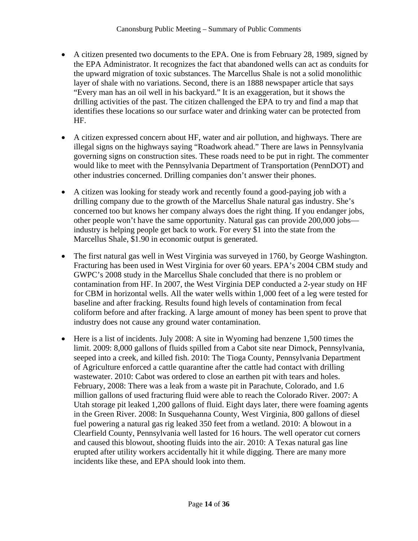- A citizen presented two documents to the EPA. One is from February 28, 1989, signed by the EPA Administrator. It recognizes the fact that abandoned wells can act as conduits for the upward migration of toxic substances. The Marcellus Shale is not a solid monolithic layer of shale with no variations. Second, there is an 1888 newspaper article that says "Every man has an oil well in his backyard." It is an exaggeration, but it shows the drilling activities of the past. The citizen challenged the EPA to try and find a map that identifies these locations so our surface water and drinking water can be protected from HF.
- A citizen expressed concern about HF, water and air pollution, and highways. There are illegal signs on the highways saying "Roadwork ahead." There are laws in Pennsylvania governing signs on construction sites. These roads need to be put in right. The commenter would like to meet with the Pennsylvania Department of Transportation (PennDOT) and other industries concerned. Drilling companies don't answer their phones.
- A citizen was looking for steady work and recently found a good-paying job with a drilling company due to the growth of the Marcellus Shale natural gas industry. She's concerned too but knows her company always does the right thing. If you endanger jobs, other people won't have the same opportunity. Natural gas can provide 200,000 jobs industry is helping people get back to work. For every \$1 into the state from the Marcellus Shale, \$1.90 in economic output is generated.
- The first natural gas well in West Virginia was surveyed in 1760, by George Washington. Fracturing has been used in West Virginia for over 60 years. EPA's 2004 CBM study and GWPC's 2008 study in the Marcellus Shale concluded that there is no problem or contamination from HF. In 2007, the West Virginia DEP conducted a 2-year study on HF for CBM in horizontal wells. All the water wells within 1,000 feet of a leg were tested for baseline and after fracking. Results found high levels of contamination from fecal coliform before and after fracking. A large amount of money has been spent to prove that industry does not cause any ground water contamination.
- Here is a list of incidents. July 2008: A site in Wyoming had benzene 1,500 times the limit. 2009: 8,000 gallons of fluids spilled from a Cabot site near Dimock, Pennsylvania, seeped into a creek, and killed fish. 2010: The Tioga County, Pennsylvania Department of Agriculture enforced a cattle quarantine after the cattle had contact with drilling wastewater. 2010: Cabot was ordered to close an earthen pit with tears and holes. February, 2008: There was a leak from a waste pit in Parachute, Colorado, and 1.6 million gallons of used fracturing fluid were able to reach the Colorado River. 2007: A Utah storage pit leaked 1,200 gallons of fluid. Eight days later, there were foaming agents in the Green River. 2008: In Susquehanna County, West Virginia, 800 gallons of diesel fuel powering a natural gas rig leaked 350 feet from a wetland. 2010: A blowout in a Clearfield County, Pennsylvania well lasted for 16 hours. The well operator cut corners and caused this blowout, shooting fluids into the air. 2010: A Texas natural gas line erupted after utility workers accidentally hit it while digging. There are many more incidents like these, and EPA should look into them.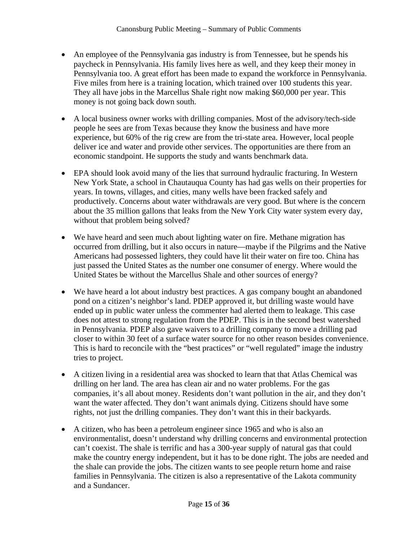- An employee of the Pennsylvania gas industry is from Tennessee, but he spends his paycheck in Pennsylvania. His family lives here as well, and they keep their money in Pennsylvania too. A great effort has been made to expand the workforce in Pennsylvania. Five miles from here is a training location, which trained over 100 students this year. They all have jobs in the Marcellus Shale right now making \$60,000 per year. This money is not going back down south.
- A local business owner works with drilling companies. Most of the advisory/tech-side people he sees are from Texas because they know the business and have more experience, but 60% of the rig crew are from the tri-state area. However, local people deliver ice and water and provide other services. The opportunities are there from an economic standpoint. He supports the study and wants benchmark data.
- EPA should look avoid many of the lies that surround hydraulic fracturing. In Western New York State, a school in Chautauqua County has had gas wells on their properties for years. In towns, villages, and cities, many wells have been fracked safely and productively. Concerns about water withdrawals are very good. But where is the concern about the 35 million gallons that leaks from the New York City water system every day, without that problem being solved?
- We have heard and seen much about lighting water on fire. Methane migration has occurred from drilling, but it also occurs in nature—maybe if the Pilgrims and the Native Americans had possessed lighters, they could have lit their water on fire too. China has just passed the United States as the number one consumer of energy. Where would the United States be without the Marcellus Shale and other sources of energy?
- We have heard a lot about industry best practices. A gas company bought an abandoned pond on a citizen's neighbor's land. PDEP approved it, but drilling waste would have ended up in public water unless the commenter had alerted them to leakage. This case does not attest to strong regulation from the PDEP. This is in the second best watershed in Pennsylvania. PDEP also gave waivers to a drilling company to move a drilling pad closer to within 30 feet of a surface water source for no other reason besides convenience. This is hard to reconcile with the "best practices" or "well regulated" image the industry tries to project.
- A citizen living in a residential area was shocked to learn that that Atlas Chemical was drilling on her land. The area has clean air and no water problems. For the gas companies, it's all about money. Residents don't want pollution in the air, and they don't want the water affected. They don't want animals dying. Citizens should have some rights, not just the drilling companies. They don't want this in their backyards.
- A citizen, who has been a petroleum engineer since 1965 and who is also an environmentalist, doesn't understand why drilling concerns and environmental protection can't coexist. The shale is terrific and has a 300-year supply of natural gas that could make the country energy independent, but it has to be done right. The jobs are needed and the shale can provide the jobs. The citizen wants to see people return home and raise families in Pennsylvania. The citizen is also a representative of the Lakota community and a Sundancer.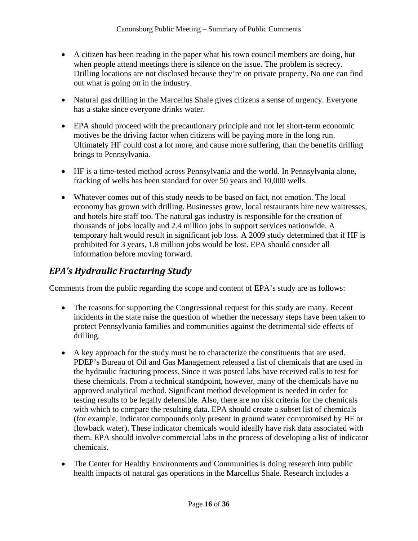- A citizen has been reading in the paper what his town council members are doing, but when people attend meetings there is silence on the issue. The problem is secrecy. Drilling locations are not disclosed because they're on private property. No one can find out what is going on in the industry.
- Natural gas drilling in the Marcellus Shale gives citizens a sense of urgency. Everyone has a stake since everyone drinks water.
- EPA should proceed with the precautionary principle and not let short-term economic motives be the driving factor when citizens will be paying more in the long run. Ultimately HF could cost a lot more, and cause more suffering, than the benefits drilling brings to Pennsylvania.
- HF is a time-tested method across Pennsylvania and the world. In Pennsylvania alone, fracking of wells has been standard for over 50 years and 10,000 wells.
- Whatever comes out of this study needs to be based on fact, not emotion. The local economy has grown with drilling. Businesses grow, local restaurants hire new waitresses, and hotels hire staff too. The natural gas industry is responsible for the creation of thousands of jobs locally and 2.4 million jobs in support services nationwide. A temporary halt would result in significant job loss. A 2009 study determined that if HF is prohibited for 3 years, 1.8 million jobs would be lost. EPA should consider all information before moving forward.

## *EPA's Hydraulic Fracturing Study*

Comments from the public regarding the scope and content of EPA's study are as follows:

- The reasons for supporting the Congressional request for this study are many. Recent incidents in the state raise the question of whether the necessary steps have been taken to protect Pennsylvania families and communities against the detrimental side effects of drilling.
- A key approach for the study must be to characterize the constituents that are used. PDEP's Bureau of Oil and Gas Management released a list of chemicals that are used in the hydraulic fracturing process. Since it was posted labs have received calls to test for these chemicals. From a technical standpoint, however, many of the chemicals have no approved analytical method. Significant method development is needed in order for testing results to be legally defensible. Also, there are no risk criteria for the chemicals with which to compare the resulting data. EPA should create a subset list of chemicals (for example, indicator compounds only present in ground water compromised by HF or flowback water). These indicator chemicals would ideally have risk data associated with them. EPA should involve commercial labs in the process of developing a list of indicator chemicals.
- The Center for Healthy Environments and Communities is doing research into public health impacts of natural gas operations in the Marcellus Shale. Research includes a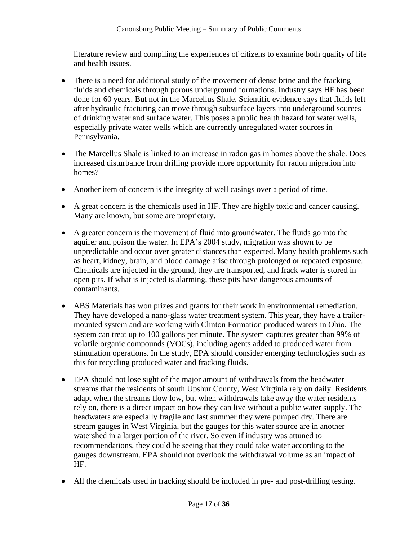literature review and compiling the experiences of citizens to examine both quality of life and health issues.

- There is a need for additional study of the movement of dense brine and the fracking fluids and chemicals through porous underground formations. Industry says HF has been done for 60 years. But not in the Marcellus Shale. Scientific evidence says that fluids left after hydraulic fracturing can move through subsurface layers into underground sources of drinking water and surface water. This poses a public health hazard for water wells, especially private water wells which are currently unregulated water sources in Pennsylvania.
- The Marcellus Shale is linked to an increase in radon gas in homes above the shale. Does increased disturbance from drilling provide more opportunity for radon migration into homes?
- Another item of concern is the integrity of well casings over a period of time.
- A great concern is the chemicals used in HF. They are highly toxic and cancer causing. Many are known, but some are proprietary.
- A greater concern is the movement of fluid into groundwater. The fluids go into the aquifer and poison the water. In EPA's 2004 study, migration was shown to be unpredictable and occur over greater distances than expected. Many health problems such as heart, kidney, brain, and blood damage arise through prolonged or repeated exposure. Chemicals are injected in the ground, they are transported, and frack water is stored in open pits. If what is injected is alarming, these pits have dangerous amounts of contaminants.
- ABS Materials has won prizes and grants for their work in environmental remediation. They have developed a nano-glass water treatment system. This year, they have a trailermounted system and are working with Clinton Formation produced waters in Ohio. The system can treat up to 100 gallons per minute. The system captures greater than 99% of volatile organic compounds (VOCs), including agents added to produced water from stimulation operations. In the study, EPA should consider emerging technologies such as this for recycling produced water and fracking fluids.
- EPA should not lose sight of the major amount of withdrawals from the headwater streams that the residents of south Upshur County, West Virginia rely on daily. Residents adapt when the streams flow low, but when withdrawals take away the water residents rely on, there is a direct impact on how they can live without a public water supply. The headwaters are especially fragile and last summer they were pumped dry. There are stream gauges in West Virginia, but the gauges for this water source are in another watershed in a larger portion of the river. So even if industry was attuned to recommendations, they could be seeing that they could take water according to the gauges downstream. EPA should not overlook the withdrawal volume as an impact of HF.
- All the chemicals used in fracking should be included in pre- and post-drilling testing.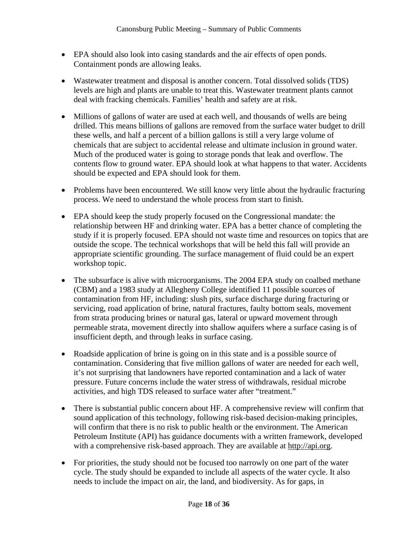- EPA should also look into casing standards and the air effects of open ponds. Containment ponds are allowing leaks.
- Wastewater treatment and disposal is another concern. Total dissolved solids (TDS) levels are high and plants are unable to treat this. Wastewater treatment plants cannot deal with fracking chemicals. Families' health and safety are at risk.
- Millions of gallons of water are used at each well, and thousands of wells are being drilled. This means billions of gallons are removed from the surface water budget to drill these wells, and half a percent of a billion gallons is still a very large volume of chemicals that are subject to accidental release and ultimate inclusion in ground water. Much of the produced water is going to storage ponds that leak and overflow. The contents flow to ground water. EPA should look at what happens to that water. Accidents should be expected and EPA should look for them.
- Problems have been encountered. We still know very little about the hydraulic fracturing process. We need to understand the whole process from start to finish.
- EPA should keep the study properly focused on the Congressional mandate: the relationship between HF and drinking water. EPA has a better chance of completing the study if it is properly focused. EPA should not waste time and resources on topics that are outside the scope. The technical workshops that will be held this fall will provide an appropriate scientific grounding. The surface management of fluid could be an expert workshop topic.
- The subsurface is alive with microorganisms. The 2004 EPA study on coalbed methane (CBM) and a 1983 study at Allegheny College identified 11 possible sources of contamination from HF, including: slush pits, surface discharge during fracturing or servicing, road application of brine, natural fractures, faulty bottom seals, movement from strata producing brines or natural gas, lateral or upward movement through permeable strata, movement directly into shallow aquifers where a surface casing is of insufficient depth, and through leaks in surface casing.
- Roadside application of brine is going on in this state and is a possible source of contamination. Considering that five million gallons of water are needed for each well, it's not surprising that landowners have reported contamination and a lack of water pressure. Future concerns include the water stress of withdrawals, residual microbe activities, and high TDS released to surface water after "treatment."
- There is substantial public concern about HF. A comprehensive review will confirm that sound application of this technology, following risk-based decision-making principles, will confirm that there is no risk to public health or the environment. The American Petroleum Institute (API) has guidance documents with a written framework, developed with a comprehensive risk-based approach. They are available at http://api.org.
- For priorities, the study should not be focused too narrowly on one part of the water cycle. The study should be expanded to include all aspects of the water cycle. It also needs to include the impact on air, the land, and biodiversity. As for gaps, in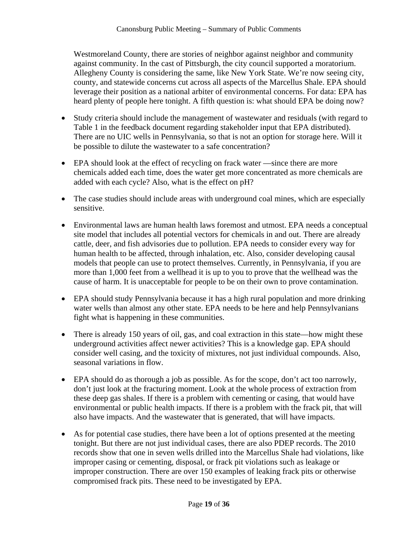Westmoreland County, there are stories of neighbor against neighbor and community against community. In the cast of Pittsburgh, the city council supported a moratorium. Allegheny County is considering the same, like New York State. We're now seeing city, county, and statewide concerns cut across all aspects of the Marcellus Shale. EPA should leverage their position as a national arbiter of environmental concerns. For data: EPA has heard plenty of people here tonight. A fifth question is: what should EPA be doing now?

- Study criteria should include the management of wastewater and residuals (with regard to Table 1 in the feedback document regarding stakeholder input that EPA distributed). There are no UIC wells in Pennsylvania, so that is not an option for storage here. Will it be possible to dilute the wastewater to a safe concentration?
- EPA should look at the effect of recycling on frack water —since there are more chemicals added each time, does the water get more concentrated as more chemicals are added with each cycle? Also, what is the effect on pH?
- The case studies should include areas with underground coal mines, which are especially sensitive.
- Environmental laws are human health laws foremost and utmost. EPA needs a conceptual site model that includes all potential vectors for chemicals in and out. There are already cattle, deer, and fish advisories due to pollution. EPA needs to consider every way for human health to be affected, through inhalation, etc. Also, consider developing causal models that people can use to protect themselves. Currently, in Pennsylvania, if you are more than 1,000 feet from a wellhead it is up to you to prove that the wellhead was the cause of harm. It is unacceptable for people to be on their own to prove contamination.
- EPA should study Pennsylvania because it has a high rural population and more drinking water wells than almost any other state. EPA needs to be here and help Pennsylvanians fight what is happening in these communities.
- There is already 150 years of oil, gas, and coal extraction in this state—how might these underground activities affect newer activities? This is a knowledge gap. EPA should consider well casing, and the toxicity of mixtures, not just individual compounds. Also, seasonal variations in flow.
- EPA should do as thorough a job as possible. As for the scope, don't act too narrowly, don't just look at the fracturing moment. Look at the whole process of extraction from these deep gas shales. If there is a problem with cementing or casing, that would have environmental or public health impacts. If there is a problem with the frack pit, that will also have impacts. And the wastewater that is generated, that will have impacts.
- As for potential case studies, there have been a lot of options presented at the meeting tonight. But there are not just individual cases, there are also PDEP records. The 2010 records show that one in seven wells drilled into the Marcellus Shale had violations, like improper casing or cementing, disposal, or frack pit violations such as leakage or improper construction. There are over 150 examples of leaking frack pits or otherwise compromised frack pits. These need to be investigated by EPA.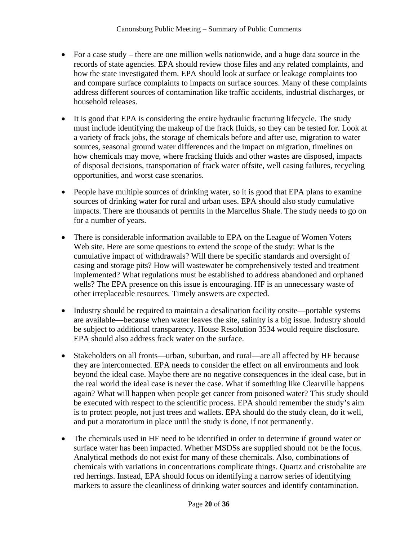- For a case study there are one million wells nationwide, and a huge data source in the records of state agencies. EPA should review those files and any related complaints, and how the state investigated them. EPA should look at surface or leakage complaints too and compare surface complaints to impacts on surface sources. Many of these complaints address different sources of contamination like traffic accidents, industrial discharges, or household releases.
- It is good that EPA is considering the entire hydraulic fracturing lifecycle. The study must include identifying the makeup of the frack fluids, so they can be tested for. Look at a variety of frack jobs, the storage of chemicals before and after use, migration to water sources, seasonal ground water differences and the impact on migration, timelines on how chemicals may move, where fracking fluids and other wastes are disposed, impacts of disposal decisions, transportation of frack water offsite, well casing failures, recycling opportunities, and worst case scenarios.
- People have multiple sources of drinking water, so it is good that EPA plans to examine sources of drinking water for rural and urban uses. EPA should also study cumulative impacts. There are thousands of permits in the Marcellus Shale. The study needs to go on for a number of years.
- There is considerable information available to EPA on the League of Women Voters Web site. Here are some questions to extend the scope of the study: What is the cumulative impact of withdrawals? Will there be specific standards and oversight of casing and storage pits? How will wastewater be comprehensively tested and treatment implemented? What regulations must be established to address abandoned and orphaned wells? The EPA presence on this issue is encouraging. HF is an unnecessary waste of other irreplaceable resources. Timely answers are expected.
- Industry should be required to maintain a desalination facility onsite—portable systems are available—because when water leaves the site, salinity is a big issue. Industry should be subject to additional transparency. House Resolution 3534 would require disclosure. EPA should also address frack water on the surface.
- Stakeholders on all fronts—urban, suburban, and rural—are all affected by HF because they are interconnected. EPA needs to consider the effect on all environments and look beyond the ideal case. Maybe there are no negative consequences in the ideal case, but in the real world the ideal case is never the case. What if something like Clearville happens again? What will happen when people get cancer from poisoned water? This study should be executed with respect to the scientific process. EPA should remember the study's aim is to protect people, not just trees and wallets. EPA should do the study clean, do it well, and put a moratorium in place until the study is done, if not permanently.
- The chemicals used in HF need to be identified in order to determine if ground water or surface water has been impacted. Whether MSDSs are supplied should not be the focus. Analytical methods do not exist for many of these chemicals. Also, combinations of chemicals with variations in concentrations complicate things. Quartz and cristobalite are red herrings. Instead, EPA should focus on identifying a narrow series of identifying markers to assure the cleanliness of drinking water sources and identify contamination.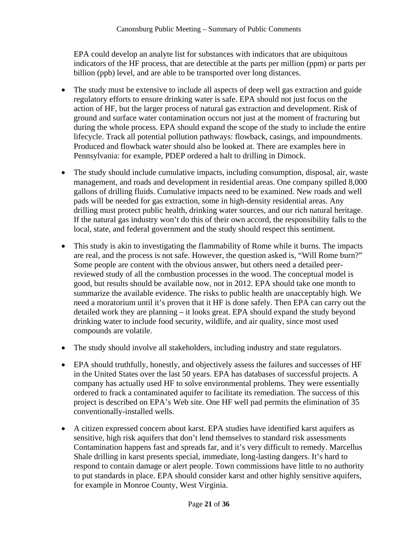EPA could develop an analyte list for substances with indicators that are ubiquitous indicators of the HF process, that are detectible at the parts per million (ppm) or parts per billion (ppb) level, and are able to be transported over long distances.

- The study must be extensive to include all aspects of deep well gas extraction and guide regulatory efforts to ensure drinking water is safe. EPA should not just focus on the action of HF, but the larger process of natural gas extraction and development. Risk of ground and surface water contamination occurs not just at the moment of fracturing but during the whole process. EPA should expand the scope of the study to include the entire lifecycle. Track all potential pollution pathways: flowback, casings, and impoundments. Produced and flowback water should also be looked at. There are examples here in Pennsylvania: for example, PDEP ordered a halt to drilling in Dimock.
- The study should include cumulative impacts, including consumption, disposal, air, waste management, and roads and development in residential areas. One company spilled 8,000 gallons of drilling fluids. Cumulative impacts need to be examined. New roads and well pads will be needed for gas extraction, some in high-density residential areas. Any drilling must protect public health, drinking water sources, and our rich natural heritage. If the natural gas industry won't do this of their own accord, the responsibility falls to the local, state, and federal government and the study should respect this sentiment.
- This study is akin to investigating the flammability of Rome while it burns. The impacts are real, and the process is not safe. However, the question asked is, "Will Rome burn?" Some people are content with the obvious answer, but others need a detailed peerreviewed study of all the combustion processes in the wood. The conceptual model is good, but results should be available now, not in 2012. EPA should take one month to summarize the available evidence. The risks to public health are unacceptably high. We need a moratorium until it's proven that it HF is done safely. Then EPA can carry out the detailed work they are planning – it looks great. EPA should expand the study beyond drinking water to include food security, wildlife, and air quality, since most used compounds are volatile.
- The study should involve all stakeholders, including industry and state regulators.
- EPA should truthfully, honestly, and objectively assess the failures and successes of HF in the United States over the last 50 years. EPA has databases of successful projects. A company has actually used HF to solve environmental problems. They were essentially ordered to frack a contaminated aquifer to facilitate its remediation. The success of this project is described on EPA's Web site. One HF well pad permits the elimination of 35 conventionally-installed wells.
- A citizen expressed concern about karst. EPA studies have identified karst aquifers as sensitive, high risk aquifers that don't lend themselves to standard risk assessments Contamination happens fast and spreads far, and it's very difficult to remedy. Marcellus Shale drilling in karst presents special, immediate, long-lasting dangers. It's hard to respond to contain damage or alert people. Town commissions have little to no authority to put standards in place. EPA should consider karst and other highly sensitive aquifers, for example in Monroe County, West Virginia.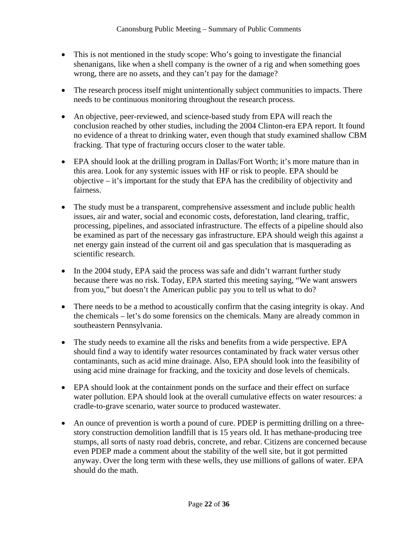- This is not mentioned in the study scope: Who's going to investigate the financial shenanigans, like when a shell company is the owner of a rig and when something goes wrong, there are no assets, and they can't pay for the damage?
- The research process itself might unintentionally subject communities to impacts. There needs to be continuous monitoring throughout the research process.
- An objective, peer-reviewed, and science-based study from EPA will reach the conclusion reached by other studies, including the 2004 Clinton-era EPA report. It found no evidence of a threat to drinking water, even though that study examined shallow CBM fracking. That type of fracturing occurs closer to the water table.
- EPA should look at the drilling program in Dallas/Fort Worth; it's more mature than in this area. Look for any systemic issues with HF or risk to people. EPA should be objective – it's important for the study that EPA has the credibility of objectivity and fairness.
- The study must be a transparent, comprehensive assessment and include public health issues, air and water, social and economic costs, deforestation, land clearing, traffic, processing, pipelines, and associated infrastructure. The effects of a pipeline should also be examined as part of the necessary gas infrastructure. EPA should weigh this against a net energy gain instead of the current oil and gas speculation that is masquerading as scientific research.
- In the 2004 study, EPA said the process was safe and didn't warrant further study because there was no risk. Today, EPA started this meeting saying, "We want answers from you," but doesn't the American public pay you to tell us what to do?
- There needs to be a method to acoustically confirm that the casing integrity is okay. And the chemicals – let's do some forensics on the chemicals. Many are already common in southeastern Pennsylvania.
- The study needs to examine all the risks and benefits from a wide perspective. EPA should find a way to identify water resources contaminated by frack water versus other contaminants, such as acid mine drainage. Also, EPA should look into the feasibility of using acid mine drainage for fracking, and the toxicity and dose levels of chemicals.
- EPA should look at the containment ponds on the surface and their effect on surface water pollution. EPA should look at the overall cumulative effects on water resources: a cradle-to-grave scenario, water source to produced wastewater.
- An ounce of prevention is worth a pound of cure. PDEP is permitting drilling on a threestory construction demolition landfill that is 15 years old. It has methane-producing tree stumps, all sorts of nasty road debris, concrete, and rebar. Citizens are concerned because even PDEP made a comment about the stability of the well site, but it got permitted anyway. Over the long term with these wells, they use millions of gallons of water. EPA should do the math.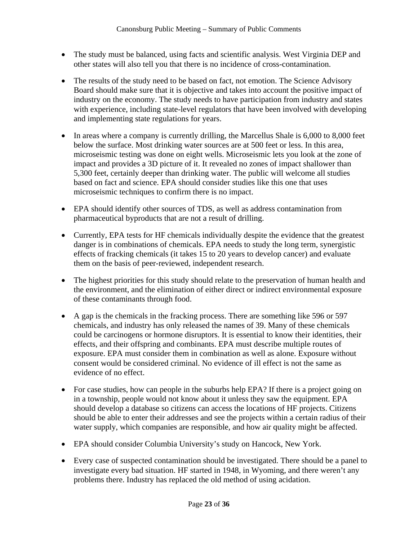- The study must be balanced, using facts and scientific analysis. West Virginia DEP and other states will also tell you that there is no incidence of cross-contamination.
- The results of the study need to be based on fact, not emotion. The Science Advisory Board should make sure that it is objective and takes into account the positive impact of industry on the economy. The study needs to have participation from industry and states with experience, including state-level regulators that have been involved with developing and implementing state regulations for years.
- In areas where a company is currently drilling, the Marcellus Shale is 6,000 to 8,000 feet below the surface. Most drinking water sources are at 500 feet or less. In this area, microseismic testing was done on eight wells. Microseismic lets you look at the zone of impact and provides a 3D picture of it. It revealed no zones of impact shallower than 5,300 feet, certainly deeper than drinking water. The public will welcome all studies based on fact and science. EPA should consider studies like this one that uses microseismic techniques to confirm there is no impact.
- EPA should identify other sources of TDS, as well as address contamination from pharmaceutical byproducts that are not a result of drilling.
- Currently, EPA tests for HF chemicals individually despite the evidence that the greatest danger is in combinations of chemicals. EPA needs to study the long term, synergistic effects of fracking chemicals (it takes 15 to 20 years to develop cancer) and evaluate them on the basis of peer-reviewed, independent research.
- The highest priorities for this study should relate to the preservation of human health and the environment, and the elimination of either direct or indirect environmental exposure of these contaminants through food.
- A gap is the chemicals in the fracking process. There are something like 596 or 597 chemicals, and industry has only released the names of 39. Many of these chemicals could be carcinogens or hormone disruptors. It is essential to know their identities, their effects, and their offspring and combinants. EPA must describe multiple routes of exposure. EPA must consider them in combination as well as alone. Exposure without consent would be considered criminal. No evidence of ill effect is not the same as evidence of no effect.
- For case studies, how can people in the suburbs help EPA? If there is a project going on in a township, people would not know about it unless they saw the equipment. EPA should develop a database so citizens can access the locations of HF projects. Citizens should be able to enter their addresses and see the projects within a certain radius of their water supply, which companies are responsible, and how air quality might be affected.
- EPA should consider Columbia University's study on Hancock, New York.
- Every case of suspected contamination should be investigated. There should be a panel to investigate every bad situation. HF started in 1948, in Wyoming, and there weren't any problems there. Industry has replaced the old method of using acidation.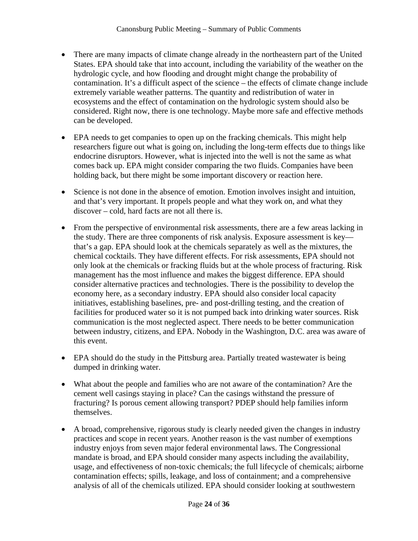- There are many impacts of climate change already in the northeastern part of the United States. EPA should take that into account, including the variability of the weather on the hydrologic cycle, and how flooding and drought might change the probability of contamination. It's a difficult aspect of the science – the effects of climate change include extremely variable weather patterns. The quantity and redistribution of water in ecosystems and the effect of contamination on the hydrologic system should also be considered. Right now, there is one technology. Maybe more safe and effective methods can be developed.
- EPA needs to get companies to open up on the fracking chemicals. This might help researchers figure out what is going on, including the long-term effects due to things like endocrine disruptors. However, what is injected into the well is not the same as what comes back up. EPA might consider comparing the two fluids. Companies have been holding back, but there might be some important discovery or reaction here.
- Science is not done in the absence of emotion. Emotion involves insight and intuition, and that's very important. It propels people and what they work on, and what they discover – cold, hard facts are not all there is.
- From the perspective of environmental risk assessments, there are a few areas lacking in the study. There are three components of risk analysis. Exposure assessment is key that's a gap. EPA should look at the chemicals separately as well as the mixtures, the chemical cocktails. They have different effects. For risk assessments, EPA should not only look at the chemicals or fracking fluids but at the whole process of fracturing. Risk management has the most influence and makes the biggest difference. EPA should consider alternative practices and technologies. There is the possibility to develop the economy here, as a secondary industry. EPA should also consider local capacity initiatives, establishing baselines, pre- and post-drilling testing, and the creation of facilities for produced water so it is not pumped back into drinking water sources. Risk communication is the most neglected aspect. There needs to be better communication between industry, citizens, and EPA. Nobody in the Washington, D.C. area was aware of this event.
- EPA should do the study in the Pittsburg area. Partially treated wastewater is being dumped in drinking water.
- What about the people and families who are not aware of the contamination? Are the cement well casings staying in place? Can the casings withstand the pressure of fracturing? Is porous cement allowing transport? PDEP should help families inform themselves.
- A broad, comprehensive, rigorous study is clearly needed given the changes in industry practices and scope in recent years. Another reason is the vast number of exemptions industry enjoys from seven major federal environmental laws. The Congressional mandate is broad, and EPA should consider many aspects including the availability, usage, and effectiveness of non-toxic chemicals; the full lifecycle of chemicals; airborne contamination effects; spills, leakage, and loss of containment; and a comprehensive analysis of all of the chemicals utilized. EPA should consider looking at southwestern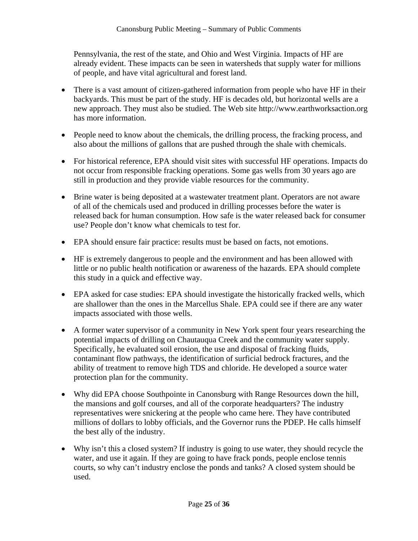Pennsylvania, the rest of the state, and Ohio and West Virginia. Impacts of HF are already evident. These impacts can be seen in watersheds that supply water for millions of people, and have vital agricultural and forest land.

- There is a vast amount of citizen-gathered information from people who have HF in their backyards. This must be part of the study. HF is decades old, but horizontal wells are a new approach. They must also be studied. The Web site http://www.earthworksaction.org has more information.
- People need to know about the chemicals, the drilling process, the fracking process, and also about the millions of gallons that are pushed through the shale with chemicals.
- For historical reference, EPA should visit sites with successful HF operations. Impacts do not occur from responsible fracking operations. Some gas wells from 30 years ago are still in production and they provide viable resources for the community.
- Brine water is being deposited at a wastewater treatment plant. Operators are not aware of all of the chemicals used and produced in drilling processes before the water is released back for human consumption. How safe is the water released back for consumer use? People don't know what chemicals to test for.
- EPA should ensure fair practice: results must be based on facts, not emotions.
- HF is extremely dangerous to people and the environment and has been allowed with little or no public health notification or awareness of the hazards. EPA should complete this study in a quick and effective way.
- EPA asked for case studies: EPA should investigate the historically fracked wells, which are shallower than the ones in the Marcellus Shale. EPA could see if there are any water impacts associated with those wells.
- A former water supervisor of a community in New York spent four years researching the potential impacts of drilling on Chautauqua Creek and the community water supply. Specifically, he evaluated soil erosion, the use and disposal of fracking fluids, contaminant flow pathways, the identification of surficial bedrock fractures, and the ability of treatment to remove high TDS and chloride. He developed a source water protection plan for the community.
- Why did EPA choose Southpointe in Canonsburg with Range Resources down the hill, the mansions and golf courses, and all of the corporate headquarters? The industry representatives were snickering at the people who came here. They have contributed millions of dollars to lobby officials, and the Governor runs the PDEP. He calls himself the best ally of the industry.
- Why isn't this a closed system? If industry is going to use water, they should recycle the water, and use it again. If they are going to have frack ponds, people enclose tennis courts, so why can't industry enclose the ponds and tanks? A closed system should be used.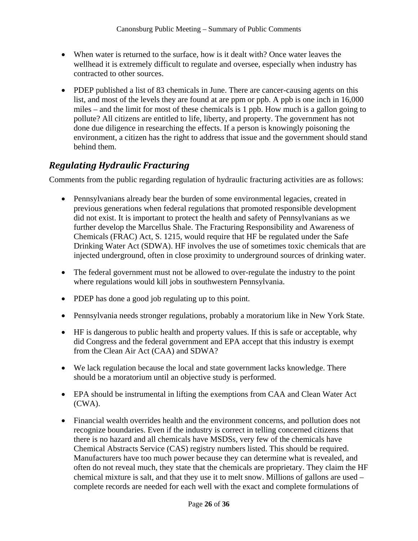- When water is returned to the surface, how is it dealt with? Once water leaves the wellhead it is extremely difficult to regulate and oversee, especially when industry has contracted to other sources.
- PDEP published a list of 83 chemicals in June. There are cancer-causing agents on this list, and most of the levels they are found at are ppm or ppb. A ppb is one inch in 16,000 miles – and the limit for most of these chemicals is 1 ppb. How much is a gallon going to pollute? All citizens are entitled to life, liberty, and property. The government has not done due diligence in researching the effects. If a person is knowingly poisoning the environment, a citizen has the right to address that issue and the government should stand behind them.

#### *Regulating Hydraulic Fracturing*

Comments from the public regarding regulation of hydraulic fracturing activities are as follows:

- Pennsylvanians already bear the burden of some environmental legacies, created in previous generations when federal regulations that promoted responsible development did not exist. It is important to protect the health and safety of Pennsylvanians as we further develop the Marcellus Shale. The Fracturing Responsibility and Awareness of Chemicals (FRAC) Act, S. 1215, would require that HF be regulated under the Safe Drinking Water Act (SDWA). HF involves the use of sometimes toxic chemicals that are injected underground, often in close proximity to underground sources of drinking water.
- The federal government must not be allowed to over-regulate the industry to the point where regulations would kill jobs in southwestern Pennsylvania.
- PDEP has done a good job regulating up to this point.
- Pennsylvania needs stronger regulations, probably a moratorium like in New York State.
- HF is dangerous to public health and property values. If this is safe or acceptable, why did Congress and the federal government and EPA accept that this industry is exempt from the Clean Air Act (CAA) and SDWA?
- We lack regulation because the local and state government lacks knowledge. There should be a moratorium until an objective study is performed.
- EPA should be instrumental in lifting the exemptions from CAA and Clean Water Act (CWA).
- Financial wealth overrides health and the environment concerns, and pollution does not recognize boundaries. Even if the industry is correct in telling concerned citizens that there is no hazard and all chemicals have MSDSs, very few of the chemicals have Chemical Abstracts Service (CAS) registry numbers listed. This should be required. Manufacturers have too much power because they can determine what is revealed, and often do not reveal much, they state that the chemicals are proprietary. They claim the HF chemical mixture is salt, and that they use it to melt snow. Millions of gallons are used – complete records are needed for each well with the exact and complete formulations of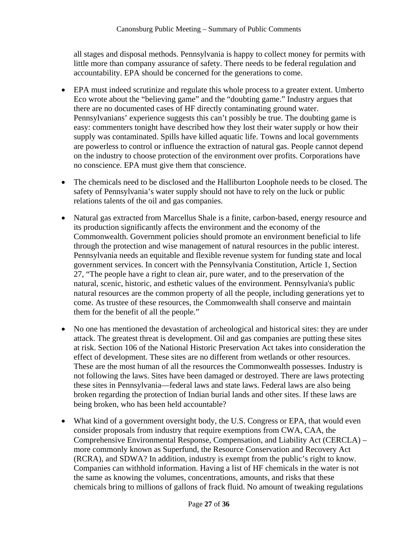all stages and disposal methods. Pennsylvania is happy to collect money for permits with little more than company assurance of safety. There needs to be federal regulation and accountability. EPA should be concerned for the generations to come.

- EPA must indeed scrutinize and regulate this whole process to a greater extent. Umberto Eco wrote about the "believing game" and the "doubting game." Industry argues that there are no documented cases of HF directly contaminating ground water. Pennsylvanians' experience suggests this can't possibly be true. The doubting game is easy: commenters tonight have described how they lost their water supply or how their supply was contaminated. Spills have killed aquatic life. Towns and local governments are powerless to control or influence the extraction of natural gas. People cannot depend on the industry to choose protection of the environment over profits. Corporations have no conscience. EPA must give them that conscience.
- The chemicals need to be disclosed and the Halliburton Loophole needs to be closed. The safety of Pennsylvania's water supply should not have to rely on the luck or public relations talents of the oil and gas companies.
- Natural gas extracted from Marcellus Shale is a finite, carbon-based, energy resource and its production significantly affects the environment and the economy of the Commonwealth. Government policies should promote an environment beneficial to life through the protection and wise management of natural resources in the public interest. Pennsylvania needs an equitable and flexible revenue system for funding state and local government services. In concert with the Pennsylvania Constitution, Article 1, Section 27, "The people have a right to clean air, pure water, and to the preservation of the natural, scenic, historic, and esthetic values of the environment. Pennsylvania's public natural resources are the common property of all the people, including generations yet to come. As trustee of these resources, the Commonwealth shall conserve and maintain them for the benefit of all the people."
- No one has mentioned the devastation of archeological and historical sites: they are under attack. The greatest threat is development. Oil and gas companies are putting these sites at risk. Section 106 of the National Historic Preservation Act takes into consideration the effect of development. These sites are no different from wetlands or other resources. These are the most human of all the resources the Commonwealth possesses. Industry is not following the laws. Sites have been damaged or destroyed. There are laws protecting these sites in Pennsylvania—federal laws and state laws. Federal laws are also being broken regarding the protection of Indian burial lands and other sites. If these laws are being broken, who has been held accountable?
- What kind of a government oversight body, the U.S. Congress or EPA, that would even consider proposals from industry that require exemptions from CWA, CAA, the Comprehensive Environmental Response, Compensation, and Liability Act (CERCLA) – more commonly known as Superfund, the Resource Conservation and Recovery Act (RCRA), and SDWA? In addition, industry is exempt from the public's right to know. Companies can withhold information. Having a list of HF chemicals in the water is not the same as knowing the volumes, concentrations, amounts, and risks that these chemicals bring to millions of gallons of frack fluid. No amount of tweaking regulations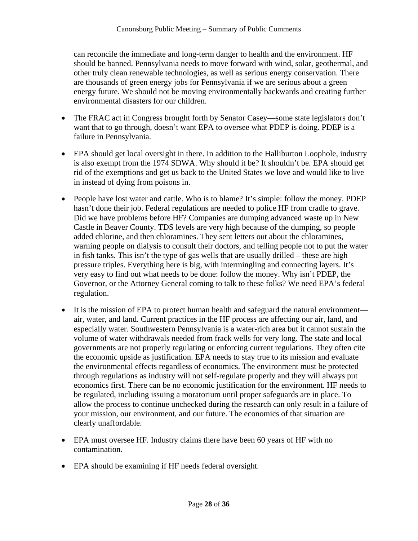can reconcile the immediate and long-term danger to health and the environment. HF should be banned. Pennsylvania needs to move forward with wind, solar, geothermal, and other truly clean renewable technologies, as well as serious energy conservation. There are thousands of green energy jobs for Pennsylvania if we are serious about a green energy future. We should not be moving environmentally backwards and creating further environmental disasters for our children.

- The FRAC act in Congress brought forth by Senator Casey—some state legislators don't want that to go through, doesn't want EPA to oversee what PDEP is doing. PDEP is a failure in Pennsylvania.
- EPA should get local oversight in there. In addition to the Halliburton Loophole, industry is also exempt from the 1974 SDWA. Why should it be? It shouldn't be. EPA should get rid of the exemptions and get us back to the United States we love and would like to live in instead of dying from poisons in.
- People have lost water and cattle. Who is to blame? It's simple: follow the money. PDEP hasn't done their job. Federal regulations are needed to police HF from cradle to grave. Did we have problems before HF? Companies are dumping advanced waste up in New Castle in Beaver County. TDS levels are very high because of the dumping, so people added chlorine, and then chloramines. They sent letters out about the chloramines, warning people on dialysis to consult their doctors, and telling people not to put the water in fish tanks. This isn't the type of gas wells that are usually drilled – these are high pressure triples. Everything here is big, with intermingling and connecting layers. It's very easy to find out what needs to be done: follow the money. Why isn't PDEP, the Governor, or the Attorney General coming to talk to these folks? We need EPA's federal regulation.
- It is the mission of EPA to protect human health and safeguard the natural environment air, water, and land. Current practices in the HF process are affecting our air, land, and especially water. Southwestern Pennsylvania is a water-rich area but it cannot sustain the volume of water withdrawals needed from frack wells for very long. The state and local governments are not properly regulating or enforcing current regulations. They often cite the economic upside as justification. EPA needs to stay true to its mission and evaluate the environmental effects regardless of economics. The environment must be protected through regulations as industry will not self-regulate properly and they will always put economics first. There can be no economic justification for the environment. HF needs to be regulated, including issuing a moratorium until proper safeguards are in place. To allow the process to continue unchecked during the research can only result in a failure of your mission, our environment, and our future. The economics of that situation are clearly unaffordable.
- EPA must oversee HF. Industry claims there have been 60 years of HF with no contamination.
- EPA should be examining if HF needs federal oversight.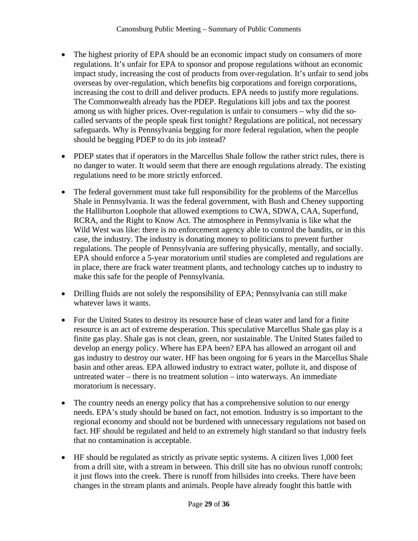- The highest priority of EPA should be an economic impact study on consumers of more regulations. It's unfair for EPA to sponsor and propose regulations without an economic impact study, increasing the cost of products from over-regulation. It's unfair to send jobs overseas by over-regulation, which benefits big corporations and foreign corporations, increasing the cost to drill and deliver products. EPA needs to justify more regulations. The Commonwealth already has the PDEP. Regulations kill jobs and tax the poorest among us with higher prices. Over-regulation is unfair to consumers – why did the socalled servants of the people speak first tonight? Regulations are political, not necessary safeguards. Why is Pennsylvania begging for more federal regulation, when the people should be begging PDEP to do its job instead?
- PDEP states that if operators in the Marcellus Shale follow the rather strict rules, there is no danger to water. It would seem that there are enough regulations already. The existing regulations need to be more strictly enforced.
- The federal government must take full responsibility for the problems of the Marcellus Shale in Pennsylvania. It was the federal government, with Bush and Cheney supporting the Halliburton Loophole that allowed exemptions to CWA, SDWA, CAA, Superfund, RCRA, and the Right to Know Act. The atmosphere in Pennsylvania is like what the Wild West was like: there is no enforcement agency able to control the bandits, or in this case, the industry. The industry is donating money to politicians to prevent further regulations. The people of Pennsylvania are suffering physically, mentally, and socially. EPA should enforce a 5-year moratorium until studies are completed and regulations are in place, there are frack water treatment plants, and technology catches up to industry to make this safe for the people of Pennsylvania.
- Drilling fluids are not solely the responsibility of EPA; Pennsylvania can still make whatever laws it wants.
- For the United States to destroy its resource base of clean water and land for a finite resource is an act of extreme desperation. This speculative Marcellus Shale gas play is a finite gas play. Shale gas is not clean, green, nor sustainable. The United States failed to develop an energy policy. Where has EPA been? EPA has allowed an arrogant oil and gas industry to destroy our water. HF has been ongoing for 6 years in the Marcellus Shale basin and other areas. EPA allowed industry to extract water, pollute it, and dispose of untreated water – there is no treatment solution – into waterways. An immediate moratorium is necessary.
- The country needs an energy policy that has a comprehensive solution to our energy needs. EPA's study should be based on fact, not emotion. Industry is so important to the regional economy and should not be burdened with unnecessary regulations not based on fact. HF should be regulated and held to an extremely high standard so that industry feels that no contamination is acceptable.
- HF should be regulated as strictly as private septic systems. A citizen lives 1,000 feet from a drill site, with a stream in between. This drill site has no obvious runoff controls; it just flows into the creek. There is runoff from hillsides into creeks. There have been changes in the stream plants and animals. People have already fought this battle with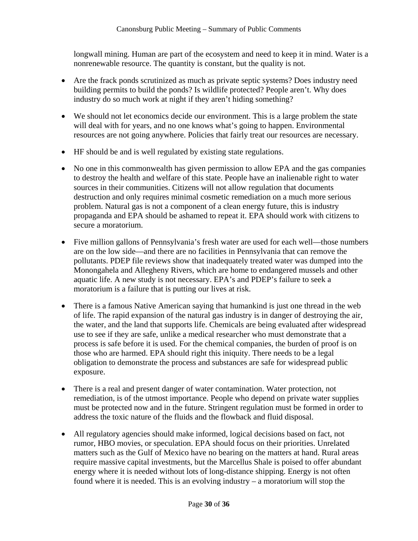longwall mining. Human are part of the ecosystem and need to keep it in mind. Water is a nonrenewable resource. The quantity is constant, but the quality is not.

- Are the frack ponds scrutinized as much as private septic systems? Does industry need building permits to build the ponds? Is wildlife protected? People aren't. Why does industry do so much work at night if they aren't hiding something?
- We should not let economics decide our environment. This is a large problem the state will deal with for years, and no one knows what's going to happen. Environmental resources are not going anywhere. Policies that fairly treat our resources are necessary.
- HF should be and is well regulated by existing state regulations.
- No one in this commonwealth has given permission to allow EPA and the gas companies to destroy the health and welfare of this state. People have an inalienable right to water sources in their communities. Citizens will not allow regulation that documents destruction and only requires minimal cosmetic remediation on a much more serious problem. Natural gas is not a component of a clean energy future, this is industry propaganda and EPA should be ashamed to repeat it. EPA should work with citizens to secure a moratorium.
- Five million gallons of Pennsylvania's fresh water are used for each well—those numbers are on the low side—and there are no facilities in Pennsylvania that can remove the pollutants. PDEP file reviews show that inadequately treated water was dumped into the Monongahela and Allegheny Rivers, which are home to endangered mussels and other aquatic life. A new study is not necessary. EPA's and PDEP's failure to seek a moratorium is a failure that is putting our lives at risk.
- There is a famous Native American saying that humankind is just one thread in the web of life. The rapid expansion of the natural gas industry is in danger of destroying the air, the water, and the land that supports life. Chemicals are being evaluated after widespread use to see if they are safe, unlike a medical researcher who must demonstrate that a process is safe before it is used. For the chemical companies, the burden of proof is on those who are harmed. EPA should right this iniquity. There needs to be a legal obligation to demonstrate the process and substances are safe for widespread public exposure.
- There is a real and present danger of water contamination. Water protection, not remediation, is of the utmost importance. People who depend on private water supplies must be protected now and in the future. Stringent regulation must be formed in order to address the toxic nature of the fluids and the flowback and fluid disposal.
- All regulatory agencies should make informed, logical decisions based on fact, not rumor, HBO movies, or speculation. EPA should focus on their priorities. Unrelated matters such as the Gulf of Mexico have no bearing on the matters at hand. Rural areas require massive capital investments, but the Marcellus Shale is poised to offer abundant energy where it is needed without lots of long-distance shipping. Energy is not often found where it is needed. This is an evolving industry – a moratorium will stop the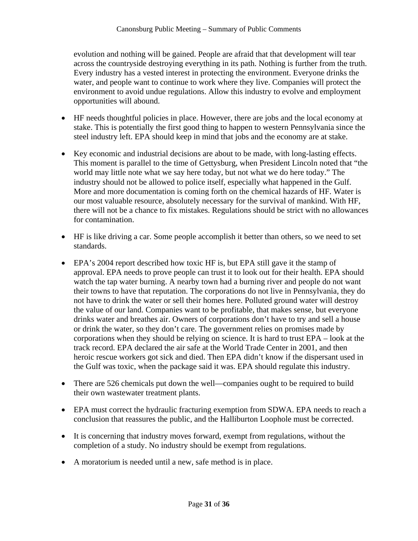evolution and nothing will be gained. People are afraid that that development will tear across the countryside destroying everything in its path. Nothing is further from the truth. Every industry has a vested interest in protecting the environment. Everyone drinks the water, and people want to continue to work where they live. Companies will protect the environment to avoid undue regulations. Allow this industry to evolve and employment opportunities will abound.

- HF needs thoughtful policies in place. However, there are jobs and the local economy at stake. This is potentially the first good thing to happen to western Pennsylvania since the steel industry left. EPA should keep in mind that jobs and the economy are at stake.
- Key economic and industrial decisions are about to be made, with long-lasting effects. This moment is parallel to the time of Gettysburg, when President Lincoln noted that "the world may little note what we say here today, but not what we do here today." The industry should not be allowed to police itself, especially what happened in the Gulf. More and more documentation is coming forth on the chemical hazards of HF. Water is our most valuable resource, absolutely necessary for the survival of mankind. With HF, there will not be a chance to fix mistakes. Regulations should be strict with no allowances for contamination.
- HF is like driving a car. Some people accomplish it better than others, so we need to set standards.
- EPA's 2004 report described how toxic HF is, but EPA still gave it the stamp of approval. EPA needs to prove people can trust it to look out for their health. EPA should watch the tap water burning. A nearby town had a burning river and people do not want their towns to have that reputation. The corporations do not live in Pennsylvania, they do not have to drink the water or sell their homes here. Polluted ground water will destroy the value of our land. Companies want to be profitable, that makes sense, but everyone drinks water and breathes air. Owners of corporations don't have to try and sell a house or drink the water, so they don't care. The government relies on promises made by corporations when they should be relying on science. It is hard to trust EPA – look at the track record. EPA declared the air safe at the World Trade Center in 2001, and then heroic rescue workers got sick and died. Then EPA didn't know if the dispersant used in the Gulf was toxic, when the package said it was. EPA should regulate this industry.
- There are 526 chemicals put down the well—companies ought to be required to build their own wastewater treatment plants.
- EPA must correct the hydraulic fracturing exemption from SDWA. EPA needs to reach a conclusion that reassures the public, and the Halliburton Loophole must be corrected.
- It is concerning that industry moves forward, exempt from regulations, without the completion of a study. No industry should be exempt from regulations.
- A moratorium is needed until a new, safe method is in place.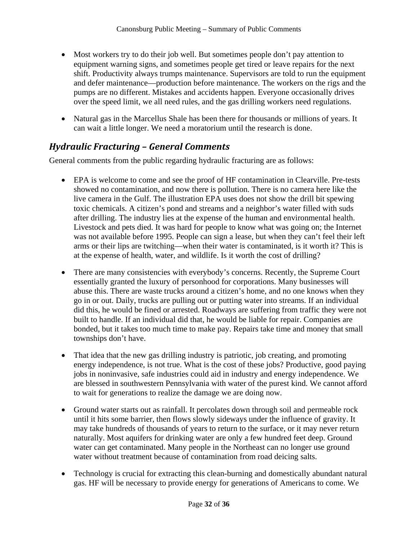- Most workers try to do their job well. But sometimes people don't pay attention to equipment warning signs, and sometimes people get tired or leave repairs for the next shift. Productivity always trumps maintenance. Supervisors are told to run the equipment and defer maintenance—production before maintenance. The workers on the rigs and the pumps are no different. Mistakes and accidents happen. Everyone occasionally drives over the speed limit, we all need rules, and the gas drilling workers need regulations.
- Natural gas in the Marcellus Shale has been there for thousands or millions of years. It can wait a little longer. We need a moratorium until the research is done.

#### *Hydraulic Fracturing – General Comments*

General comments from the public regarding hydraulic fracturing are as follows:

- EPA is welcome to come and see the proof of HF contamination in Clearville. Pre-tests showed no contamination, and now there is pollution. There is no camera here like the live camera in the Gulf. The illustration EPA uses does not show the drill bit spewing toxic chemicals. A citizen's pond and streams and a neighbor's water filled with suds after drilling. The industry lies at the expense of the human and environmental health. Livestock and pets died. It was hard for people to know what was going on; the Internet was not available before 1995. People can sign a lease, but when they can't feel their left arms or their lips are twitching—when their water is contaminated, is it worth it? This is at the expense of health, water, and wildlife. Is it worth the cost of drilling?
- There are many consistencies with everybody's concerns. Recently, the Supreme Court essentially granted the luxury of personhood for corporations. Many businesses will abuse this. There are waste trucks around a citizen's home, and no one knows when they go in or out. Daily, trucks are pulling out or putting water into streams. If an individual did this, he would be fined or arrested. Roadways are suffering from traffic they were not built to handle. If an individual did that, he would be liable for repair. Companies are bonded, but it takes too much time to make pay. Repairs take time and money that small townships don't have.
- That idea that the new gas drilling industry is patriotic, job creating, and promoting energy independence, is not true. What is the cost of these jobs? Productive, good paying jobs in noninvasive, safe industries could aid in industry and energy independence. We are blessed in southwestern Pennsylvania with water of the purest kind. We cannot afford to wait for generations to realize the damage we are doing now.
- Ground water starts out as rainfall. It percolates down through soil and permeable rock until it hits some barrier, then flows slowly sideways under the influence of gravity. It may take hundreds of thousands of years to return to the surface, or it may never return naturally. Most aquifers for drinking water are only a few hundred feet deep. Ground water can get contaminated. Many people in the Northeast can no longer use ground water without treatment because of contamination from road deicing salts.
- Technology is crucial for extracting this clean-burning and domestically abundant natural gas. HF will be necessary to provide energy for generations of Americans to come. We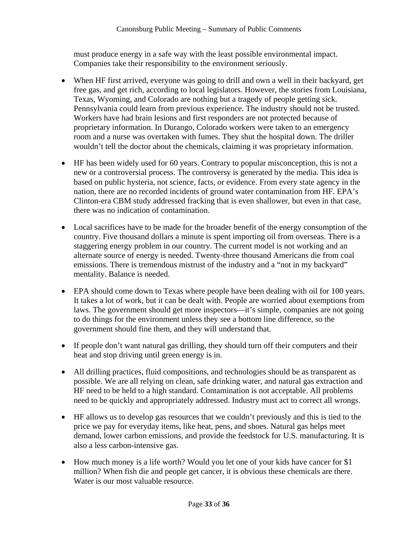must produce energy in a safe way with the least possible environmental impact. Companies take their responsibility to the environment seriously.

- When HF first arrived, everyone was going to drill and own a well in their backyard, get free gas, and get rich, according to local legislators. However, the stories from Louisiana, Texas, Wyoming, and Colorado are nothing but a tragedy of people getting sick. Pennsylvania could learn from previous experience. The industry should not be trusted. Workers have had brain lesions and first responders are not protected because of proprietary information. In Durango, Colorado workers were taken to an emergency room and a nurse was overtaken with fumes. They shut the hospital down. The driller wouldn't tell the doctor about the chemicals, claiming it was proprietary information.
- HF has been widely used for 60 years. Contrary to popular misconception, this is not a new or a controversial process. The controversy is generated by the media. This idea is based on public hysteria, not science, facts, or evidence. From every state agency in the nation, there are no recorded incidents of ground water contamination from HF. EPA's Clinton-era CBM study addressed fracking that is even shallower, but even in that case, there was no indication of contamination.
- Local sacrifices have to be made for the broader benefit of the energy consumption of the country. Five thousand dollars a minute is spent importing oil from overseas. There is a staggering energy problem in our country. The current model is not working and an alternate source of energy is needed. Twenty-three thousand Americans die from coal emissions. There is tremendous mistrust of the industry and a "not in my backyard" mentality. Balance is needed.
- EPA should come down to Texas where people have been dealing with oil for 100 years. It takes a lot of work, but it can be dealt with. People are worried about exemptions from laws. The government should get more inspectors—it's simple, companies are not going to do things for the environment unless they see a bottom line difference, so the government should fine them, and they will understand that.
- If people don't want natural gas drilling, they should turn off their computers and their heat and stop driving until green energy is in.
- All drilling practices, fluid compositions, and technologies should be as transparent as possible. We are all relying on clean, safe drinking water, and natural gas extraction and HF need to be held to a high standard. Contamination is not acceptable. All problems need to be quickly and appropriately addressed. Industry must act to correct all wrongs.
- HF allows us to develop gas resources that we couldn't previously and this is tied to the price we pay for everyday items, like heat, pens, and shoes. Natural gas helps meet demand, lower carbon emissions, and provide the feedstock for U.S. manufacturing. It is also a less carbon-intensive gas.
- How much money is a life worth? Would you let one of your kids have cancer for \$1 million? When fish die and people get cancer, it is obvious these chemicals are there. Water is our most valuable resource.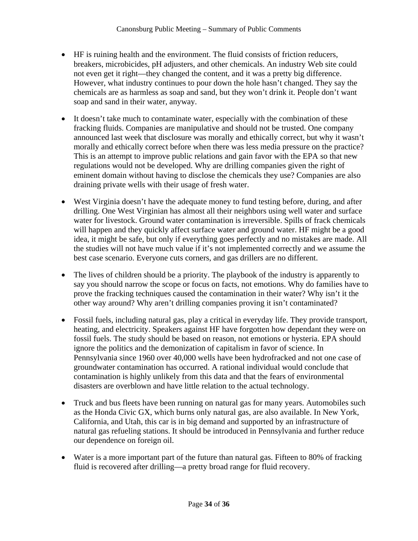- HF is ruining health and the environment. The fluid consists of friction reducers, breakers, microbicides, pH adjusters, and other chemicals. An industry Web site could not even get it right—they changed the content, and it was a pretty big difference. However, what industry continues to pour down the hole hasn't changed. They say the chemicals are as harmless as soap and sand, but they won't drink it. People don't want soap and sand in their water, anyway.
- It doesn't take much to contaminate water, especially with the combination of these fracking fluids. Companies are manipulative and should not be trusted. One company announced last week that disclosure was morally and ethically correct, but why it wasn't morally and ethically correct before when there was less media pressure on the practice? This is an attempt to improve public relations and gain favor with the EPA so that new regulations would not be developed. Why are drilling companies given the right of eminent domain without having to disclose the chemicals they use? Companies are also draining private wells with their usage of fresh water.
- West Virginia doesn't have the adequate money to fund testing before, during, and after drilling. One West Virginian has almost all their neighbors using well water and surface water for livestock. Ground water contamination is irreversible. Spills of frack chemicals will happen and they quickly affect surface water and ground water. HF might be a good idea, it might be safe, but only if everything goes perfectly and no mistakes are made. All the studies will not have much value if it's not implemented correctly and we assume the best case scenario. Everyone cuts corners, and gas drillers are no different.
- The lives of children should be a priority. The playbook of the industry is apparently to say you should narrow the scope or focus on facts, not emotions. Why do families have to prove the fracking techniques caused the contamination in their water? Why isn't it the other way around? Why aren't drilling companies proving it isn't contaminated?
- Fossil fuels, including natural gas, play a critical in everyday life. They provide transport, heating, and electricity. Speakers against HF have forgotten how dependant they were on fossil fuels. The study should be based on reason, not emotions or hysteria. EPA should ignore the politics and the demonization of capitalism in favor of science. In Pennsylvania since 1960 over 40,000 wells have been hydrofracked and not one case of groundwater contamination has occurred. A rational individual would conclude that contamination is highly unlikely from this data and that the fears of environmental disasters are overblown and have little relation to the actual technology.
- Truck and bus fleets have been running on natural gas for many years. Automobiles such as the Honda Civic GX, which burns only natural gas, are also available. In New York, California, and Utah, this car is in big demand and supported by an infrastructure of natural gas refueling stations. It should be introduced in Pennsylvania and further reduce our dependence on foreign oil.
- Water is a more important part of the future than natural gas. Fifteen to 80% of fracking fluid is recovered after drilling—a pretty broad range for fluid recovery.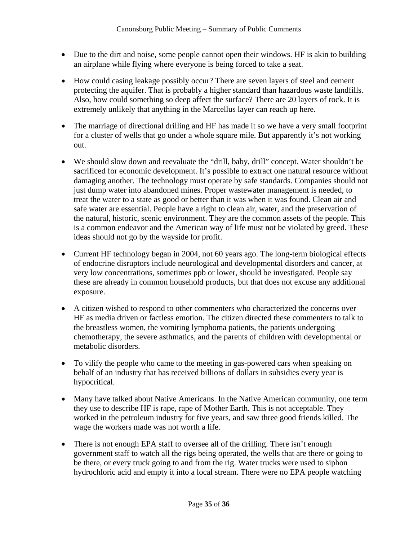- Due to the dirt and noise, some people cannot open their windows. HF is akin to building an airplane while flying where everyone is being forced to take a seat.
- How could casing leakage possibly occur? There are seven layers of steel and cement protecting the aquifer. That is probably a higher standard than hazardous waste landfills. Also, how could something so deep affect the surface? There are 20 layers of rock. It is extremely unlikely that anything in the Marcellus layer can reach up here.
- The marriage of directional drilling and HF has made it so we have a very small footprint for a cluster of wells that go under a whole square mile. But apparently it's not working out.
- We should slow down and reevaluate the "drill, baby, drill" concept. Water shouldn't be sacrificed for economic development. It's possible to extract one natural resource without damaging another. The technology must operate by safe standards. Companies should not just dump water into abandoned mines. Proper wastewater management is needed, to treat the water to a state as good or better than it was when it was found. Clean air and safe water are essential. People have a right to clean air, water, and the preservation of the natural, historic, scenic environment. They are the common assets of the people. This is a common endeavor and the American way of life must not be violated by greed. These ideas should not go by the wayside for profit.
- Current HF technology began in 2004, not 60 years ago. The long-term biological effects of endocrine disruptors include neurological and developmental disorders and cancer, at very low concentrations, sometimes ppb or lower, should be investigated. People say these are already in common household products, but that does not excuse any additional exposure.
- A citizen wished to respond to other commenters who characterized the concerns over HF as media driven or factless emotion. The citizen directed these commenters to talk to the breastless women, the vomiting lymphoma patients, the patients undergoing chemotherapy, the severe asthmatics, and the parents of children with developmental or metabolic disorders.
- To vilify the people who came to the meeting in gas-powered cars when speaking on behalf of an industry that has received billions of dollars in subsidies every year is hypocritical.
- Many have talked about Native Americans. In the Native American community, one term they use to describe HF is rape, rape of Mother Earth. This is not acceptable. They worked in the petroleum industry for five years, and saw three good friends killed. The wage the workers made was not worth a life.
- There is not enough EPA staff to oversee all of the drilling. There isn't enough government staff to watch all the rigs being operated, the wells that are there or going to be there, or every truck going to and from the rig. Water trucks were used to siphon hydrochloric acid and empty it into a local stream. There were no EPA people watching